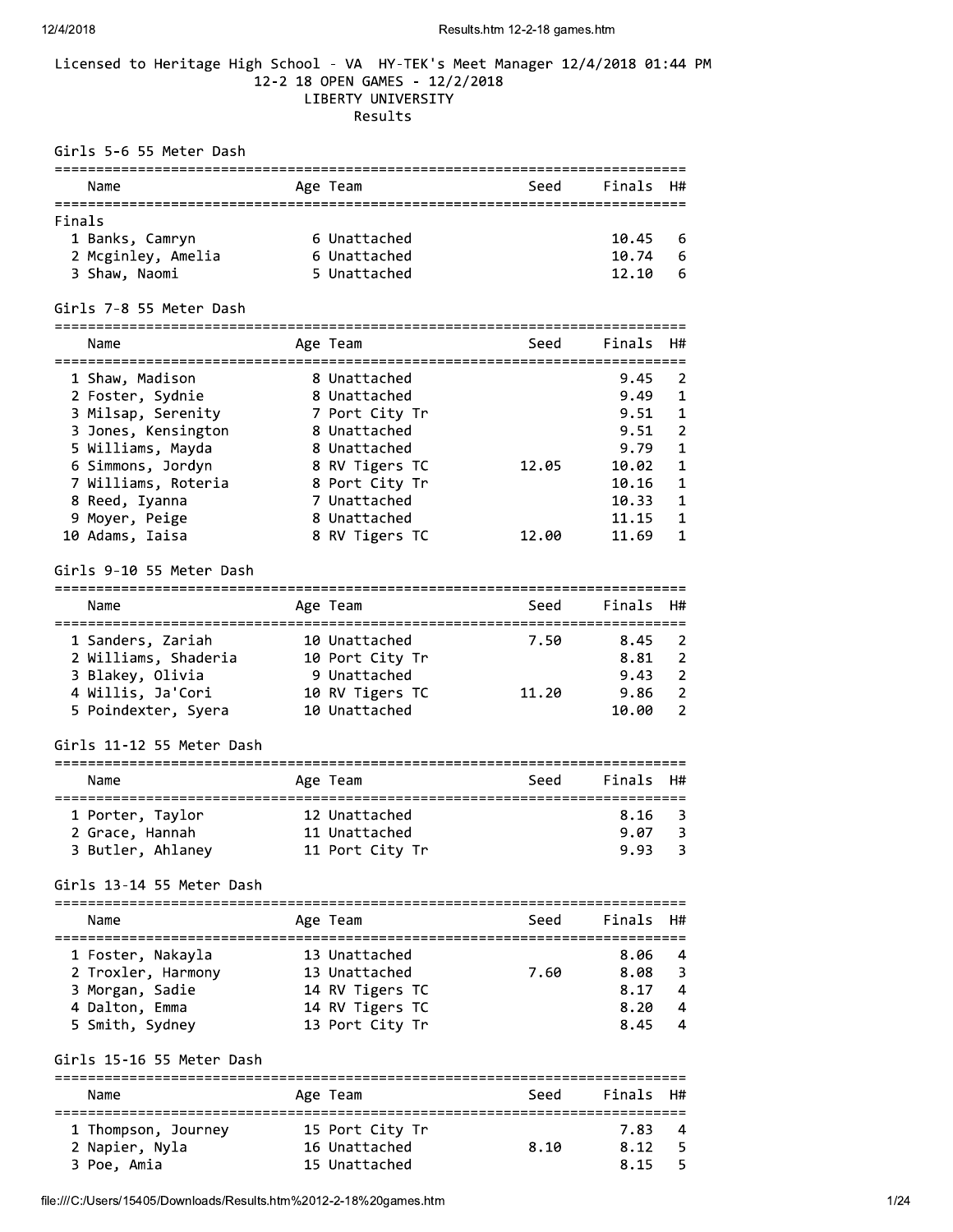#### Licensed to Heritage High School - VA HY-TEK's Meet Manager 12/4/2018 01:44 PM 12-2 18 OPEN GAMES - 12/2/2018 LIBERTY UNIVERSITY Results

Girls 5-6 55 Meter Dash Name The Age Team Controller Seed Finals H# Finals 1 Banks, Camryn 6 Unattached<br>2 Mcginley, Amelia 6 Unattached<br>3 Shaw, Naomi 5 Unattached 10.45 6 10.74 6 12.10 6 Girls 7-8 55 Meter Dash Name Mage Team Age Team Seed Finals H# Girls 9-10 55 Meter Dash Name **Age Team** Age Team Seed Finals H# 1 Sanders, Zariah 10 Unattached 7.50 8.45 2<br>
2 Williams, Shaderia 10 Port City Tr 8.81 2<br>
3 Blakey, Olivia 9 Unattached 9.43 2<br>
4 Willis, Ja'Cori 10 RV Tigers TC 11.20 9.86 2<br>
5 Poindexter, Syera 10 Unattached 10.00 2 Girls 11-12 55 Meter Dash Age Team and Seed Finals H# Name  $8.16$  3  $9.07$  3  $9.93 3$ Girls 13-14 55 Meter Dash Name **Age Team** Seed Finals H# Girls 15-16 55 Meter Dash Name Mage Team Age Team Seed Finals H# 1 Thompson, Journey 15 Port City Tr 3.10 7.83 4<br>2 Napier, Nyla 16 Unattached 8.10 8.12 5<br>3 Poe, Amia 15 Unattached 8.15 5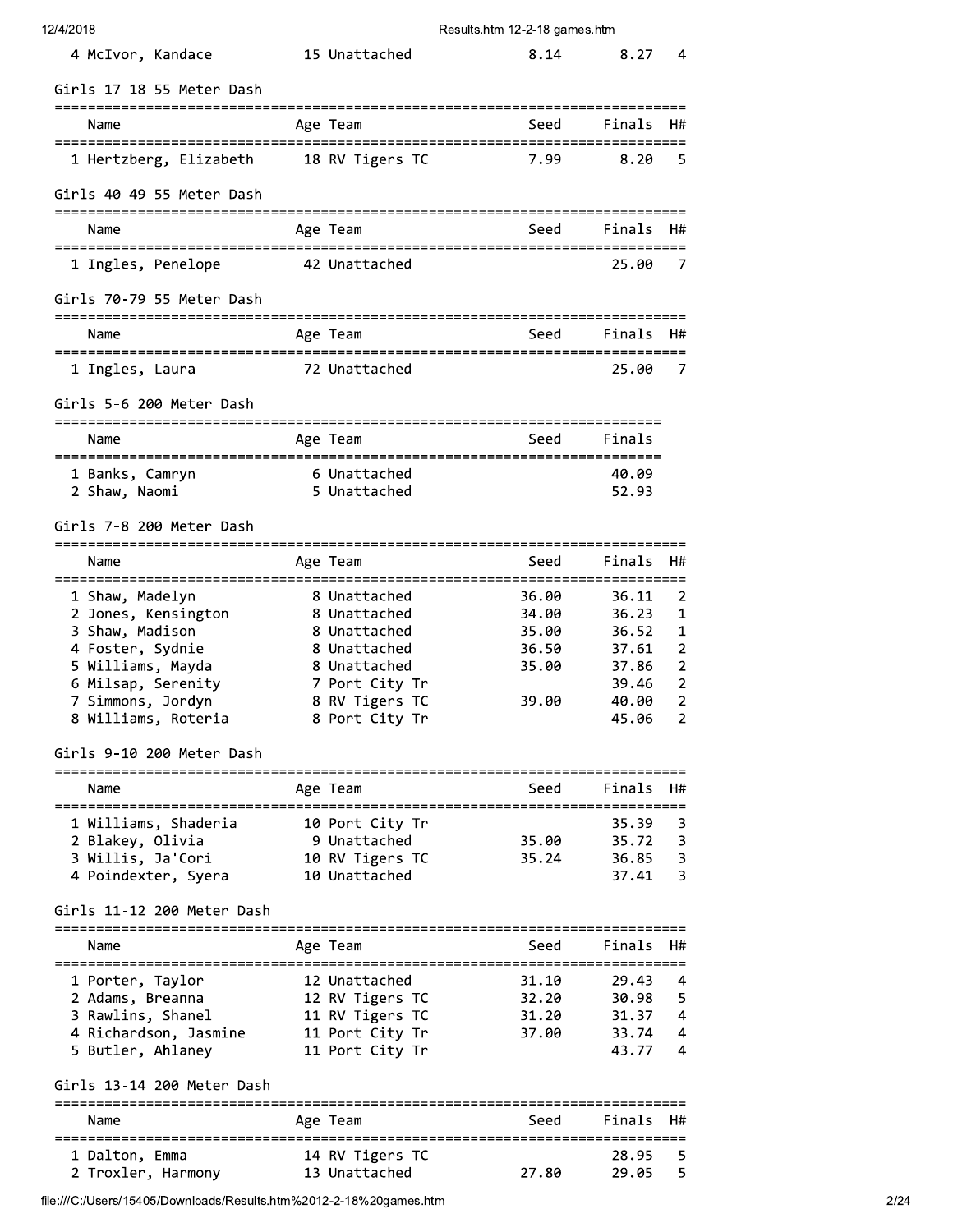| 12/4/2018 |  |
|-----------|--|
|-----------|--|

| 4 McIvor, Kandace                                            | 15 Unattached                | 8.14                                       | 8.27           | 4                       |
|--------------------------------------------------------------|------------------------------|--------------------------------------------|----------------|-------------------------|
| Girls 17-18 55 Meter Dash                                    |                              |                                            |                |                         |
| Name                                                         | Age Team                     | Seed                                       | Finals         | H#                      |
| 1 Hertzberg, Elizabeth                                       | 18 RV Tigers TC              | 7.99                                       | 8.20           | 5                       |
| Girls 40-49 55 Meter Dash                                    |                              |                                            |                |                         |
| Name                                                         | Age Team                     | Seed                                       | Finals         | H#                      |
| 1 Ingles, Penelope                                           | 42 Unattached                |                                            | 25.00          | 7                       |
| Girls 70-79 55 Meter Dash                                    |                              |                                            |                |                         |
| Name                                                         | Age Team                     | Seed                                       | Finals         | H#                      |
| 1 Ingles, Laura                                              | 72 Unattached                |                                            | 25.00          | 7                       |
| Girls 5-6 200 Meter Dash                                     |                              |                                            |                |                         |
| Name<br>------------------------------------                 | Age Team                     | Seed<br>================================== | Finals         |                         |
| 1 Banks, Camryn                                              | 6 Unattached<br>5 Unattached |                                            | 40.09<br>52.93 |                         |
| 2 Shaw, Naomi                                                |                              |                                            |                |                         |
| Girls 7-8 200 Meter Dash                                     |                              |                                            |                |                         |
| Name                                                         | Age Team                     | Seed                                       | Finals         | H#                      |
| 1 Shaw, Madelyn                                              | 8 Unattached                 | 36.00                                      | 36.11          | 2                       |
| 2 Jones, Kensington<br>3 Shaw, Madison                       | 8 Unattached<br>8 Unattached | 34.00<br>35.00                             | 36.23<br>36.52 | 1<br>1                  |
| 4 Foster, Sydnie                                             | 8 Unattached                 | 36.50                                      | 37.61          | $\overline{2}$          |
| 5 Williams, Mayda                                            | 8 Unattached                 | 35.00                                      | 37.86          | $\overline{2}$          |
| 6 Milsap, Serenity                                           | 7 Port City Tr               |                                            | 39.46          | 2                       |
| 7 Simmons, Jordyn                                            | 8 RV Tigers TC               | 39.00                                      | 40.00          | 2                       |
| 8 Williams, Roteria                                          | 8 Port City Tr               |                                            | 45.06          | $\overline{2}$          |
| Girls 9-10 200 Meter Dash                                    |                              |                                            |                |                         |
| Name                                                         | Age Team                     | Seed<br>----------                         | Finals         | H#                      |
| 1 Williams, Shaderia                                         | 10 Port City Tr              |                                            | 35.39          | 3                       |
| 2 Blakey, Olivia                                             | 9 Unattached                 | 35.00                                      | 35.72          | 3                       |
| 3 Willis, Ja'Cori                                            | 10 RV Tigers TC              | 35.24                                      | 36.85          | $\overline{\mathbf{3}}$ |
| 4 Poindexter, Syera                                          | 10 Unattached                |                                            | 37.41          | 3                       |
| Girls 11-12 200 Meter Dash<br>============================== |                              |                                            |                |                         |
| Name                                                         | Age Team                     | Seed                                       | Finals         | H#                      |
| 1 Porter, Taylor                                             | 12 Unattached                | 31.10                                      | 29.43          | 4                       |
| 2 Adams, Breanna                                             | 12 RV Tigers TC              | 32.20                                      | 30.98          | 5                       |
| 3 Rawlins, Shanel                                            | 11 RV Tigers TC              | 31.20                                      | 31.37          | 4                       |
| 4 Richardson, Jasmine                                        | 11 Port City Tr              | 37.00                                      | 33.74          | 4                       |
| 5 Butler, Ahlaney                                            | 11 Port City Tr              |                                            | 43.77          | 4                       |
| Girls 13-14 200 Meter Dash                                   |                              |                                            |                |                         |
| Name                                                         | Age Team                     | Seed                                       | Finals         | H#                      |
| 1 Dalton, Emma                                               | 14 RV Tigers TC              |                                            | 28.95          | 5                       |
| 2 Troxler, Harmony                                           | 13 Unattached                | 27.80                                      | 29.05          | 5                       |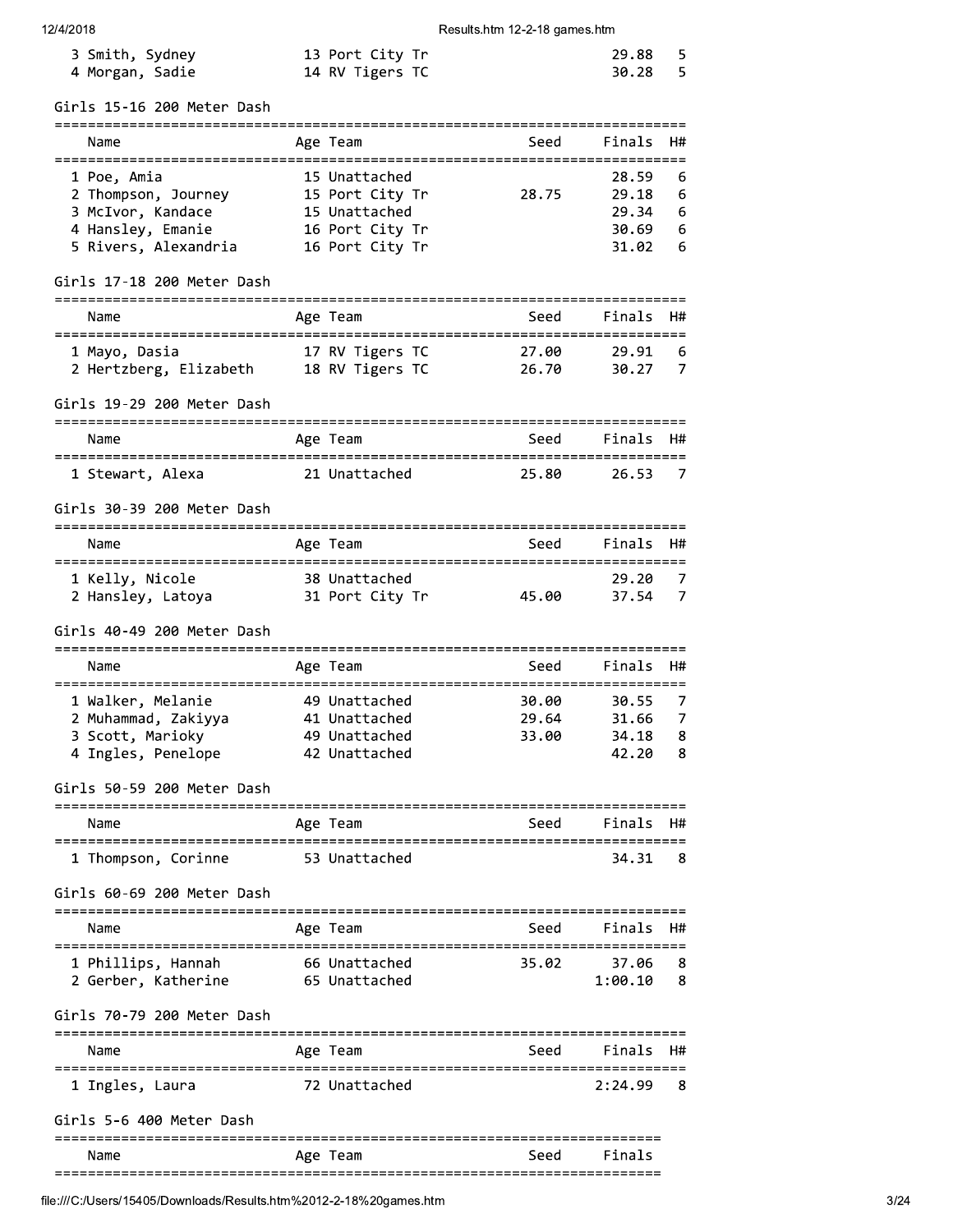| 3 Smith, Sydney | 13 Port City Tr | 29.88 5 |  |
|-----------------|-----------------|---------|--|
| 4 Morgan, Sadie | 14 RV Tigers TC | 30.28 5 |  |

Girls 15-16 200 Meter Dash

| Name                 | Age Team        | Seed  | Finals H# |     |
|----------------------|-----------------|-------|-----------|-----|
| 1 Poe, Amia          | 15 Unattached   |       | 28.59     | - 6 |
| 2 Thompson, Journey  | 15 Port City Tr | 28.75 | 29.18     | - 6 |
| 3 McIvor, Kandace    | 15 Unattached   |       | 29.34     | - 6 |
| 4 Hansley, Emanie    | 16 Port City Tr |       | 30.69     | - 6 |
| 5 Rivers, Alexandria | 16 Port City Tr |       | 31.02     | -6  |
|                      |                 |       |           |     |

# Girls 17-18 200 Meter Dash

| Name                   | Age Team        | Seed  | Finals H# |
|------------------------|-----------------|-------|-----------|
| 1 Mayo, Dasia          | 17 RV Tigers TC | 27.00 | 29.91 6   |
| 2 Hertzberg, Elizabeth | 18 RV Tigers TC | 26.70 | 30.27     |

#### Girls 19-29 200 Meter Dash

| Name             | Age Team      | Seed  | Finals H# |     |
|------------------|---------------|-------|-----------|-----|
| 1 Stewart, Alexa | 21 Unattached | 25.80 | 26.53     | - 7 |

#### Girls 30-39 200 Meter Dash

| Name              | Age Team        | Seed  | Finals H# |     |
|-------------------|-----------------|-------|-----------|-----|
| 1 Kelly, Nicole   | 38 Unattached   |       | 29.20     | - 7 |
| 2 Hansley, Latoya | 31 Port City Tr | 45.00 | 37.54     | - 7 |

# Girls 40-49 200 Meter Dash

| Name                                                                               | Age Team                                                         | Seed                    | Finals H#                        |                   |
|------------------------------------------------------------------------------------|------------------------------------------------------------------|-------------------------|----------------------------------|-------------------|
| 1 Walker, Melanie<br>2 Muhammad, Zakiyya<br>3 Scott, Marioky<br>4 Ingles, Penelope | 49 Unattached<br>41 Unattached<br>49 Unattached<br>42 Unattached | 30.00<br>29.64<br>33.00 | 30.55<br>31.66<br>34.18<br>42.20 | - 7<br>- 8<br>- 8 |

Girls 50-59 200 Meter Dash

| Name                | Age Team |               | Seed | Finals H# |  |
|---------------------|----------|---------------|------|-----------|--|
| 1 Thompson, Corinne |          | 53 Unattached |      | 34.31     |  |

Girls 60-69 200 Meter Dash

| Name                                      | Age Team                       | Seed  | Finals H#        |           |
|-------------------------------------------|--------------------------------|-------|------------------|-----------|
| 1 Phillips, Hannah<br>2 Gerber, Katherine | 66 Unattached<br>65 Unattached | 35.02 | 37.06<br>1:00.10 | - 8<br>-8 |

#### Girls 70-79 200 Meter Dash

| Name            | Age Team      | Seed | Finals  | - H# |
|-----------------|---------------|------|---------|------|
| 1 Ingles, Laura | 72 Unattached |      | 2:24.99 | - 8  |

#### Girls 5-6 400 Meter Dash

|           |            |      | _____<br>--- |  |
|-----------|------------|------|--------------|--|
| Name      | Age<br>eam | seed | $\mathbf{z}$ |  |
| --<br>--- |            |      |              |  |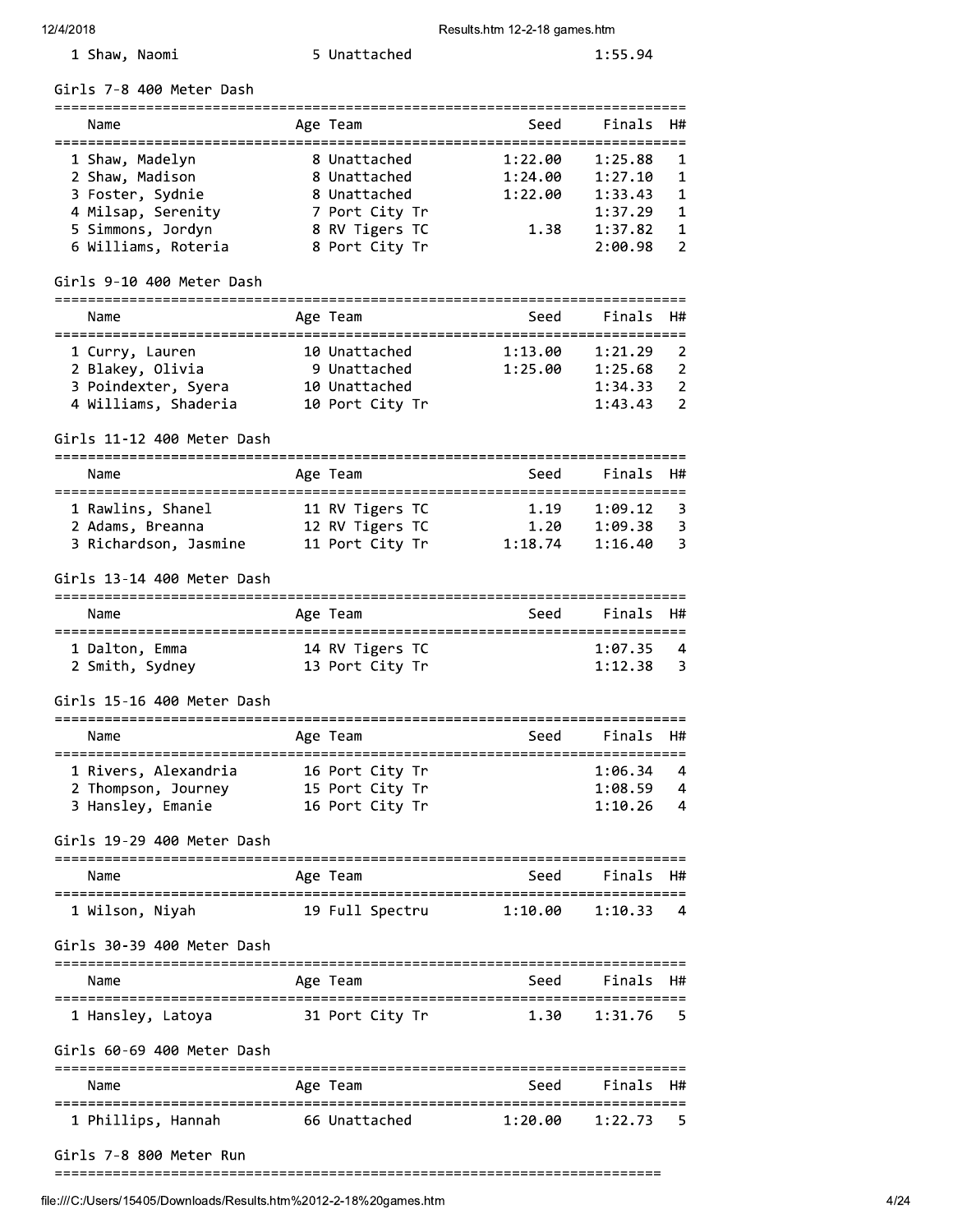$1:55.94$ 

| 1 Shaw, Naomi |  |
|---------------|--|
|               |  |

Girls 7-8 400 Meter Dash

| Name                | Age Team       | Seed    | Finals H# |                |
|---------------------|----------------|---------|-----------|----------------|
| 1 Shaw, Madelyn     | 8 Unattached   | 1:22.00 | 1:25.88   | $\blacksquare$ |
| 2 Shaw, Madison     | 8 Unattached   | 1:24.00 | 1:27.10   | $\mathbf{1}$   |
| 3 Foster, Sydnie    | 8 Unattached   | 1:22.00 | 1:33.43   | $\mathbf{1}$   |
| 4 Milsap, Serenity  | 7 Port City Tr |         | 1:37.29   | $\mathbf{1}$   |
| 5 Simmons, Jordyn   | 8 RV Tigers TC | 1.38    | 1:37.82   | -1             |
| 6 Williams, Roteria | 8 Port City Tr |         | 2:00.98   | -2             |

5 Unattached

# Girls 9-10 400 Meter Dash

| Name                 | Age Team        | Seed    | Finals H# |                |
|----------------------|-----------------|---------|-----------|----------------|
| 1 Curry, Lauren      | 10 Unattached   | 1:13.00 | 1:21.29   | $\overline{2}$ |
| 2 Blakey, Olivia     | 9 Unattached    | 1:25.00 | 1:25.68   | $\overline{2}$ |
| 3 Poindexter, Syera  | 10 Unattached   |         | 1:34.33   | $\overline{2}$ |
| 4 Williams, Shaderia | 10 Port City Tr |         | 1:43.43   | $\overline{2}$ |

#### Girls 11-12 400 Meter Dash

| Name                  | Age Team        | Seed    | Finals H# |     |
|-----------------------|-----------------|---------|-----------|-----|
| 1 Rawlins, Shanel     | 11 RV Tigers TC | 1.19    | 1:09.12   | - 3 |
| 2 Adams, Breanna      | 12 RV Tigers TC | 1.20    | 1:09.38   | -3  |
| 3 Richardson, Jasmine | 11 Port City Tr | 1:18.74 | 1:16.40   | - 3 |

#### Girls 13-14 400 Meter Dash

| Name                              | Age Team                           | Seed | Finals H#              |     |
|-----------------------------------|------------------------------------|------|------------------------|-----|
| 1 Dalton, Emma<br>2 Smith, Sydney | 14 RV Tigers TC<br>13 Port City Tr |      | $1:07.35$ 4<br>1:12.38 | - 3 |

# Girls 15-16 400 Meter Dash

| Name                 |  | Age Team |                 |  | Seed | Finals H# |     |
|----------------------|--|----------|-----------------|--|------|-----------|-----|
| 1 Rivers, Alexandria |  |          | 16 Port City Tr |  |      | 1:06.34   | - 4 |
| 2 Thompson, Journey  |  |          | 15 Port City Tr |  |      | 1:08.59   | -4  |
| 3 Hansley, Emanie    |  |          | 16 Port City Tr |  |      | 1:10.26   | - 4 |

#### Girls 19-29 400 Meter Dash

| Name            | Age Team        | Seed    | Finals H# |                |
|-----------------|-----------------|---------|-----------|----------------|
| 1 Wilson, Niyah | 19 Full Spectru | 1:10.00 | 1:10.33   | $\overline{4}$ |

#### Girls 30-39 400 Meter Dash

| Name              | Age Team        | Seed | Finals H# |  |
|-------------------|-----------------|------|-----------|--|
| 1 Hansley, Latoya | 31 Port City Tr | 1.30 | 1:31.76 5 |  |

#### Girls 60-69 400 Meter Dash

| Name               | Age Team      | Seed    | Finals H# |    |
|--------------------|---------------|---------|-----------|----|
| 1 Phillips, Hannah | 66 Unattached | 1:20.00 | 1:22.73   | -5 |

#### Girls 7-8 800 Meter Run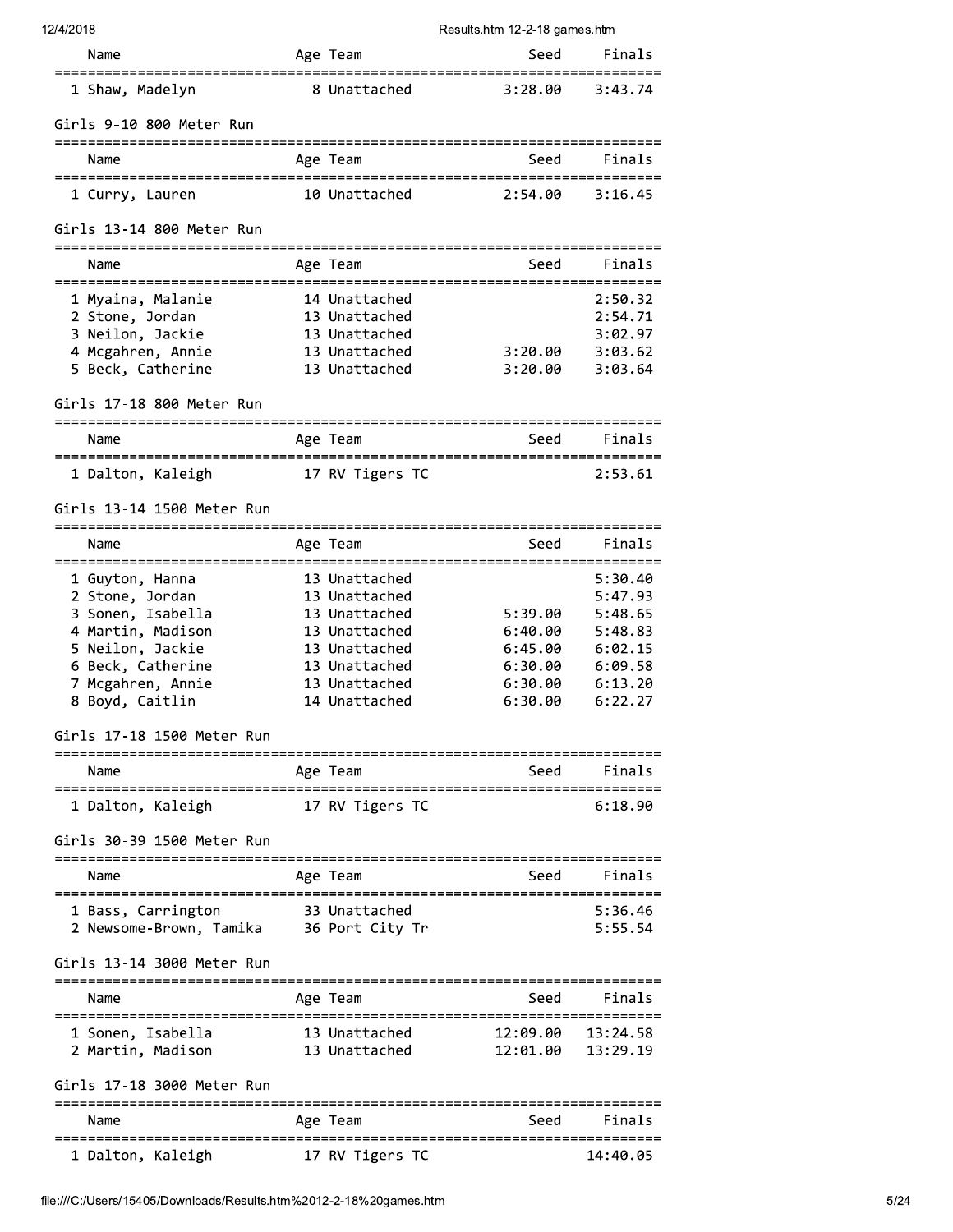| 12/4/2018                                                     |                                | Results.htm 12-2-18 games.htm            |                      |
|---------------------------------------------------------------|--------------------------------|------------------------------------------|----------------------|
| Name                                                          | Age Team                       | Seed                                     | Finals               |
| 1 Shaw, Madelyn                                               | 8 Unattached                   | 3:28.00                                  | 3:43.74              |
| Girls 9-10 800 Meter Run                                      |                                |                                          |                      |
| Name                                                          | Age Team                       | Seed                                     | Finals               |
| 1 Curry, Lauren                                               | 10 Unattached                  | 2:54.00                                  | 3:16.45              |
| Girls 13-14 800 Meter Run                                     |                                |                                          |                      |
| Name                                                          | Age Team                       | Seed                                     | Finals               |
| =====================================<br>1 Myaina, Malanie    | 14 Unattached                  | :=============================           | 2:50.32              |
| 2 Stone, Jordan                                               | 13 Unattached                  |                                          | 2:54.71              |
| 3 Neilon, Jackie                                              | 13 Unattached                  |                                          | 3:02.97              |
| 4 Mcgahren, Annie                                             | 13 Unattached                  | 3:20.00                                  | 3:03.62              |
| 5 Beck, Catherine                                             | 13 Unattached                  | 3:20.00                                  | 3:03.64              |
| Girls 17-18 800 Meter Run                                     |                                |                                          |                      |
| Name                                                          | Age Team                       | Seed                                     | Finals               |
| 1 Dalton, Kaleigh                                             | 17 RV Tigers TC                |                                          | 2:53.61              |
| Girls 13-14 1500 Meter Run                                    |                                |                                          |                      |
| Name                                                          | Age Team                       | :===============================<br>Seed | Finals               |
| =====================================<br>1 Guyton, Hanna      | 13 Unattached                  |                                          | 5:30.40              |
| 2 Stone, Jordan                                               | 13 Unattached                  |                                          | 5:47.93              |
| 3 Sonen, Isabella                                             | 13 Unattached                  | 5:39.00                                  | 5:48.65              |
| 4 Martin, Madison                                             | 13 Unattached                  | 6:40.00                                  | 5:48.83              |
| 5 Neilon, Jackie                                              | 13 Unattached                  | 6:45.00                                  | 6:02.15              |
| 6 Beck, Catherine                                             | 13 Unattached                  | 6:30.00                                  | 6:09.58              |
| 7 Mcgahren, Annie                                             | 13 Unattached                  | 6:30.00                                  | 6:13.20              |
| 8 Boyd, Caitlin                                               | 14 Unattached                  | 6:30.00                                  | 6:22.27              |
| Girls 17-18 1500 Meter Run                                    |                                |                                          |                      |
| Name                                                          | Age Team                       | Seed                                     | Finals               |
| 1 Dalton, Kaleigh                                             | 17 RV Tigers TC                |                                          | 6:18.90              |
| Girls 30-39 1500 Meter Run                                    |                                |                                          |                      |
| Name                                                          | Age Team                       |                                          | Seed Finals          |
|                                                               |                                |                                          |                      |
| 1 Bass, Carrington<br>2 Newsome-Brown, Tamika 36 Port City Tr | 33 Unattached                  |                                          | 5:36.46<br>5:55.54   |
| Girls 13-14 3000 Meter Run                                    |                                |                                          |                      |
| Name                                                          | Age Team                       | Seed                                     | Finals               |
|                                                               |                                |                                          |                      |
| 1 Sonen, Isabella<br>2 Martin, Madison                        | 13 Unattached<br>13 Unattached | 12:09.00<br>12:01.00                     | 13:24.58<br>13:29.19 |
| Girls 17-18 3000 Meter Run                                    |                                |                                          |                      |
| Name                                                          | Age Team                       | Seed                                     | Finals               |
| 1 Dalton, Kaleigh                                             | 17 RV Tigers TC                |                                          | 14:40.05             |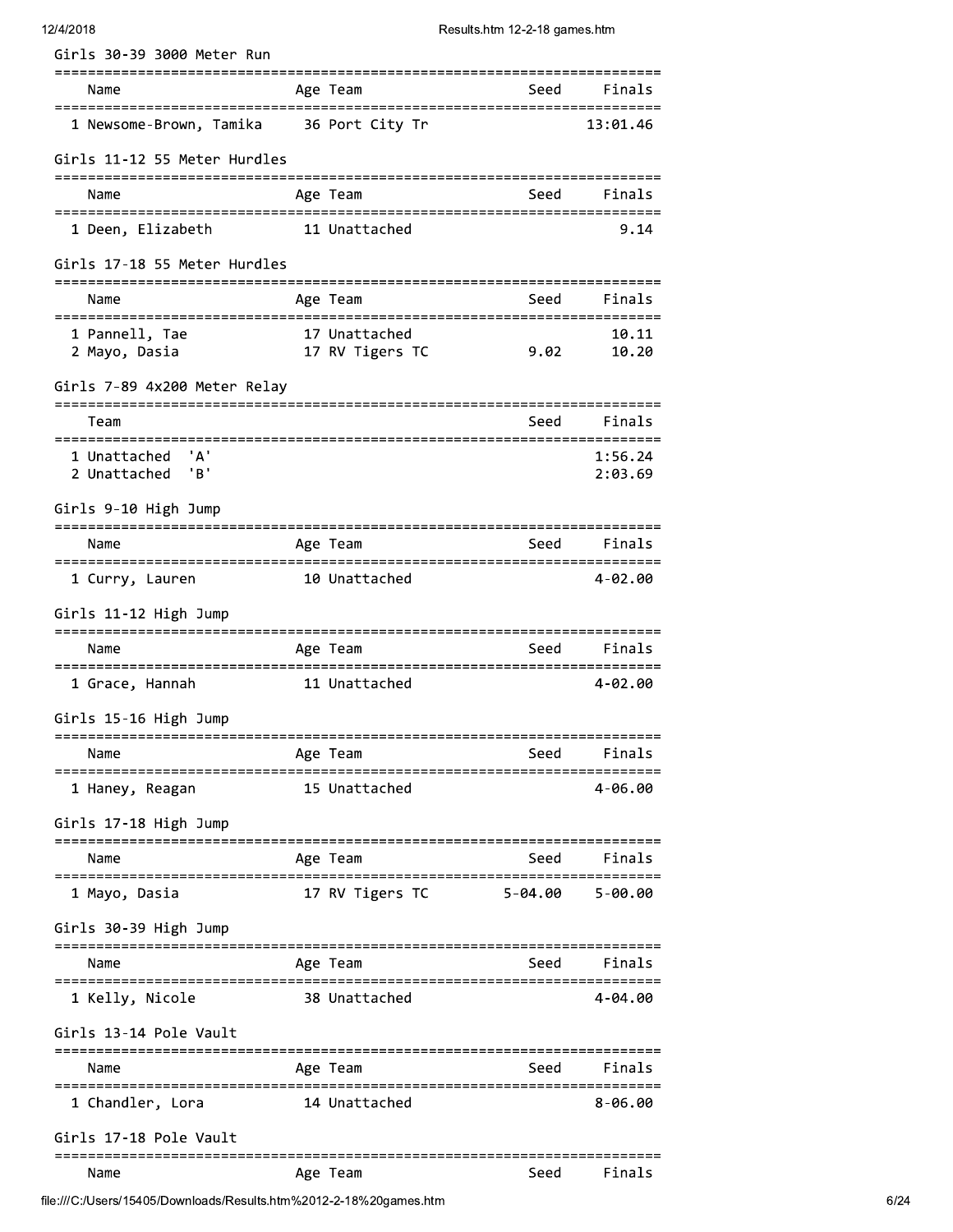| Girls 30-39 3000 Meter Run                      |                                  |                                       |                      |
|-------------------------------------------------|----------------------------------|---------------------------------------|----------------------|
| Name                                            | Age Team                         |                                       | Seed Finals          |
| 1 Newsome-Brown, Tamika 36 Port City Tr         |                                  |                                       | 13:01.46             |
| Girls 11-12 55 Meter Hurdles                    |                                  |                                       |                      |
| Name                                            | Age Team                         | Seed                                  | Finals               |
| 1 Deen, Elizabeth                               | 11 Unattached                    |                                       | 9.14                 |
| Girls 17-18 55 Meter Hurdles                    |                                  |                                       |                      |
| Name                                            | Age Team                         | Seed                                  | Finals               |
| 1 Pannell, Tae                                  | 17 Unattached<br>17 RV Tigers TC |                                       | 10.11                |
| 2 Mayo, Dasia                                   |                                  | 9.02                                  | 10.20                |
| Girls 7-89 4x200 Meter Relay                    |                                  |                                       |                      |
| Team                                            |                                  | Seed                                  | Finals               |
| ======================<br>' A '<br>1 Unattached |                                  |                                       | 1:56.24              |
| 'B'<br>2 Unattached                             |                                  |                                       | 2:03.69              |
| Girls 9-10 High Jump                            |                                  |                                       |                      |
| Name                                            | Age Team                         |                                       | Seed Finals          |
| 1 Curry, Lauren                                 | 10 Unattached                    |                                       | 4-02.00              |
| Girls 11-12 High Jump                           |                                  |                                       |                      |
| Name                                            | Age Team                         | Seed Finals                           |                      |
| 1 Grace, Hannah                                 | 11 Unattached                    |                                       | 4-02.00              |
| Girls 15-16 High Jump                           |                                  |                                       |                      |
| Name                                            | Age Team                         | Seed                                  | Finals               |
| :=================<br>1 Haney, Reagan           | 15 Unattached                    |                                       | 4-06.00              |
| Girls 17-18 High Jump                           |                                  | ---------------------------------     |                      |
| Name<br>.________________                       | Age Team                         | Seed                                  | Finals               |
| 1 Mayo, Dasia                                   | 17 RV Tigers TC                  | $5 - 04.00$                           | 5-00.00              |
| Girls 30-39 High Jump                           |                                  |                                       |                      |
| Name                                            | Age Team                         | Seed                                  | Finals               |
| 1 Kelly, Nicole                                 | 38 Unattached                    |                                       | 4-04.00              |
| Girls 13-14 Pole Vault                          |                                  | ===========================           |                      |
| Name                                            | Age Team                         | Seed                                  | Finals               |
| 1 Chandler, Lora                                | 14 Unattached                    |                                       | =========<br>8-06.00 |
| Girls 17-18 Pole Vault                          |                                  |                                       |                      |
| Name                                            | Age Team                         | =============================<br>Seed | Finals               |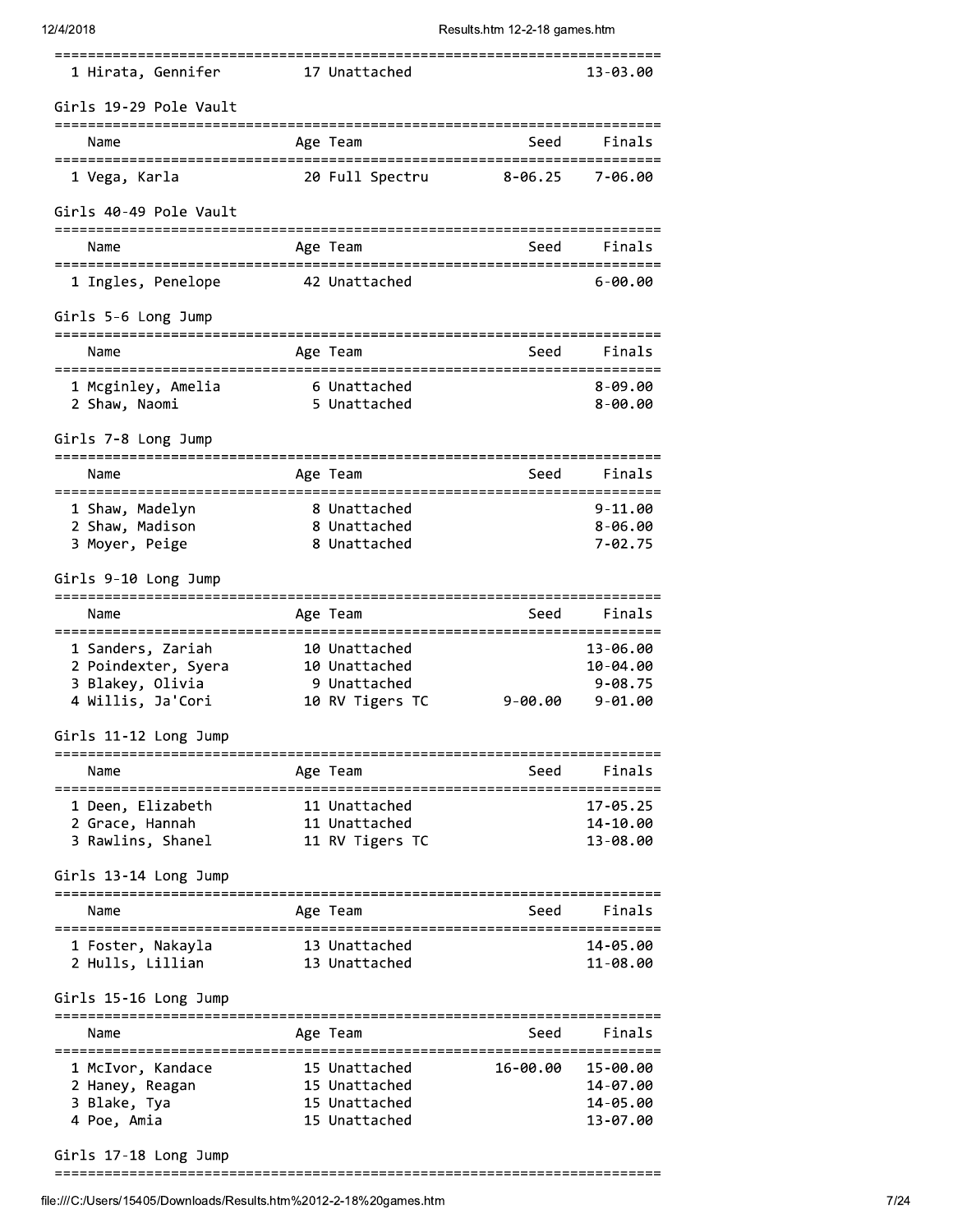# 12/4/2018

Results.htm 12-2-18 games.htm

| 1 Hirata, Gennifer                                                                                         | 17 Unattached                                                     |                                                      | 13-03.00                                           |
|------------------------------------------------------------------------------------------------------------|-------------------------------------------------------------------|------------------------------------------------------|----------------------------------------------------|
| Girls 19-29 Pole Vault                                                                                     |                                                                   |                                                      |                                                    |
| Name                                                                                                       | Age Team                                                          | Seed                                                 | Finals                                             |
| ======================================<br>1 Vega, Karla                                                    | 20 Full Spectru                                                   | :====================================<br>$8 - 06.25$ | 7-06.00                                            |
| Girls 40-49 Pole Vault                                                                                     |                                                                   |                                                      |                                                    |
| Name                                                                                                       | Age Team                                                          | Seed                                                 | Finals                                             |
| 1 Ingles, Penelope                                                                                         | 42 Unattached                                                     |                                                      | 6-00.00                                            |
| Girls 5-6 Long Jump                                                                                        |                                                                   |                                                      |                                                    |
| Name                                                                                                       | Age Team                                                          | Seed                                                 | Finals                                             |
| 1 Mcginley, Amelia<br>2 Shaw, Naomi                                                                        | 6 Unattached<br>5 Unattached                                      |                                                      | $8 - 09.00$<br>$8 - 00.00$                         |
| Girls 7-8 Long Jump                                                                                        |                                                                   |                                                      |                                                    |
| Name                                                                                                       | Age Team                                                          | Seed                                                 | Finals                                             |
| =============<br>1 Shaw, Madelyn<br>2 Shaw, Madison<br>3 Moyer, Peige                                      | 8 Unattached<br>8 Unattached<br>8 Unattached                      |                                                      | $9 - 11.00$<br>$8 - 06.00$<br>$7 - 02.75$          |
| Girls 9-10 Long Jump                                                                                       |                                                                   |                                                      |                                                    |
| Name                                                                                                       | Age Team                                                          | Seed                                                 | Finals                                             |
| 1 Sanders, Zariah<br>2 Poindexter, Syera<br>3 Blakey, Olivia<br>4 Willis, Ja'Cori<br>Girls 11-12 Long Jump | 10 Unattached<br>10 Unattached<br>9 Unattached<br>10 RV Tigers TC | $9 - 00.00$                                          | 13-06.00<br>10-04.00<br>$9 - 08.75$<br>$9 - 01.00$ |
| Name                                                                                                       | Age Team                                                          | Seed                                                 | Finals                                             |
| 1 Deen, Elizabeth<br>2 Grace, Hannah<br>3 Rawlins, Shanel<br>Girls 13-14 Long Jump                         | 11 Unattached<br>11 Unattached<br>11 RV Tigers TC                 |                                                      | 17-05.25<br>14-10.00<br>13-08.00                   |
| Name                                                                                                       | Age Team                                                          | Seed                                                 | Finals                                             |
| 1 Foster, Nakayla<br>2 Hulls, Lillian                                                                      | 13 Unattached<br>13 Unattached                                    |                                                      | 14-05.00<br>11-08.00                               |
| Girls 15-16 Long Jump                                                                                      |                                                                   |                                                      |                                                    |
| Name                                                                                                       | Age Team                                                          | Seed                                                 | Finals                                             |
| 1 McIvor, Kandace<br>2 Haney, Reagan<br>3 Blake, Tya<br>4 Poe, Amia                                        | 15 Unattached<br>15 Unattached<br>15 Unattached<br>15 Unattached  | 16-00.00                                             | 15-00.00<br>14-07.00<br>14-05.00<br>13-07.00       |

Girls 17-18 Long Jump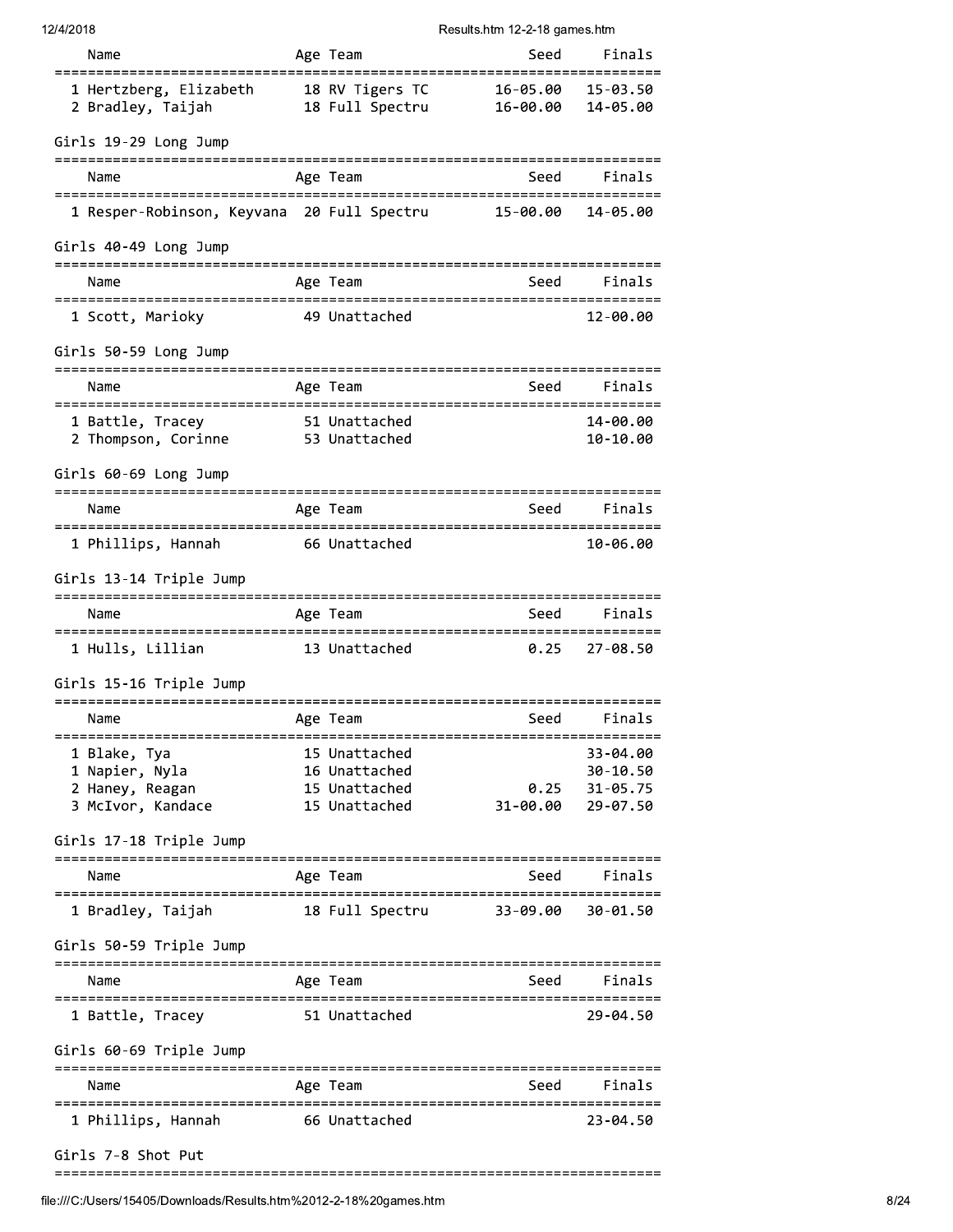| 12/4/2018 |
|-----------|
|-----------|

| 2141 2010                                                           |                                | nesults.html 12-2-10 yanies.html |                                   |
|---------------------------------------------------------------------|--------------------------------|----------------------------------|-----------------------------------|
| Name                                                                | Age Team                       | Seed                             | Finals                            |
| 1 Hertzberg, Elizabeth      18 RV Tigers TC<br>2 Bradley, Taijah    | 18 Full Spectru                | 16-05.00                         | $15 - 03.50$<br>16-00.00 14-05.00 |
| Girls 19-29 Long Jump                                               |                                |                                  |                                   |
| Name                                                                | Age Team                       | Seed                             | Finals                            |
| 1 Resper-Robinson, Keyvana 20 Full Spectru 15-00.00                 |                                |                                  | 14-05.00                          |
| Girls 40-49 Long Jump                                               |                                |                                  |                                   |
| Name                                                                | Age Team                       | Seed Finals                      |                                   |
| 1 Scott, Marioky 649 Unattached                                     |                                |                                  | 12-00.00                          |
| Girls 50-59 Long Jump                                               |                                |                                  |                                   |
| Name                                                                | Age Team                       | Seed                             | Finals                            |
| 1 Battle, Tracey 51 Unattached<br>2 Thompson, Corinne 53 Unattached |                                |                                  | 14-00.00<br>$10 - 10.00$          |
| Girls 60-69 Long Jump                                               |                                |                                  |                                   |
| Name                                                                | Age Team                       | Seed                             | Finals                            |
| 1 Phillips, Hannah                                                  | 66 Unattached                  |                                  | 10-06.00                          |
| Girls 13-14 Triple Jump                                             |                                |                                  |                                   |
| Name                                                                | Age Team                       | <b>Seed</b>                      | Finals                            |
| 1 Hulls, Lillian                                                    | 13 Unattached                  | 0.25                             | $27 - 08.50$                      |
| Girls 15-16 Triple Jump                                             |                                |                                  |                                   |
| Name                                                                | Age Team                       | Seed                             | Finals                            |
| 1 Blake, Tya                                                        | 15 Unattached                  |                                  | 33-04.00                          |
| 1 Napier, Nyla                                                      | 16 Unattached                  |                                  | 30-10.50                          |
| 2 Haney, Reagan<br>3 McIvor, Kandace                                | 15 Unattached<br>15 Unattached | 0.25<br>31-00.00                 | $31 - 05.75$<br>29-07.50          |
| Girls 17-18 Triple Jump                                             |                                |                                  |                                   |
| Name                                                                | Age Team                       | Seed                             | Finals                            |
| 1 Bradley, Taijah                                                   | 18 Full Spectru                | 33-09.00                         | 30-01.50                          |
| Girls 50-59 Triple Jump                                             |                                |                                  |                                   |
| Name                                                                | Age Team                       | Seed                             | Finals –                          |
| ===============================<br>1 Battle, Tracey                 | 51 Unattached                  |                                  | 29-04.50                          |
| Girls 60-69 Triple Jump                                             |                                | -------------------------        |                                   |
| Name                                                                | Age Team                       | Seed                             | Finals                            |
| 1 Phillips, Hannah                                                  | 66 Unattached                  |                                  | $23 - 04.50$                      |
| Girls 7-8 Shot Put                                                  |                                |                                  |                                   |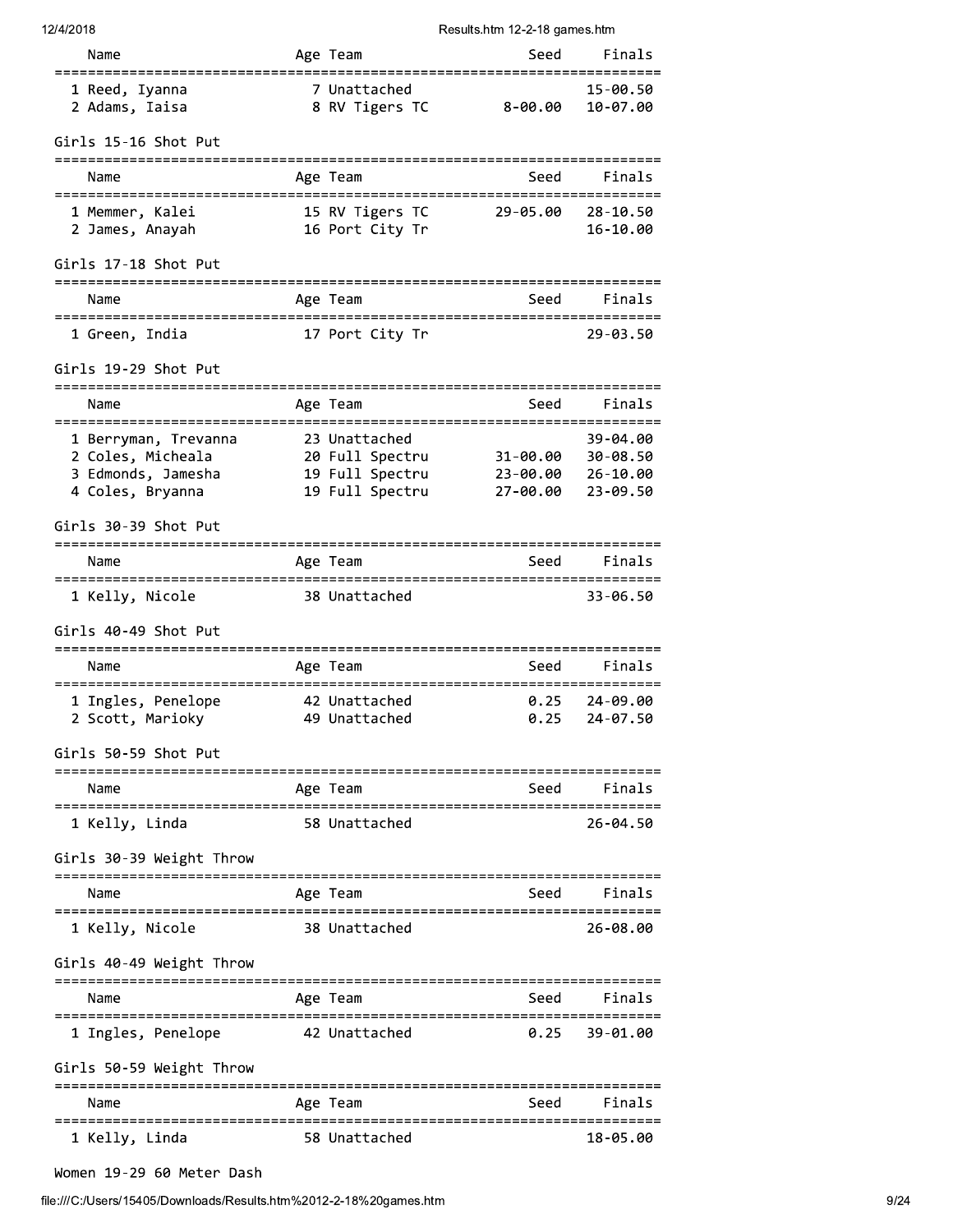| 12/4/2018 |  |
|-----------|--|
|-----------|--|

# its.htm 12-2-18 games.htm

| 12/4/2018                                                                  |           |                                    | Results.htm 12-2-18 games.htm                  |                         |
|----------------------------------------------------------------------------|-----------|------------------------------------|------------------------------------------------|-------------------------|
| Name                                                                       |           | Age Team                           | Seed                                           | Finals                  |
| 1 Reed, Iyanna<br>2 Adams, Iaisa                                           |           | 7 Unattached<br>8 RV Tigers TC     | $8 - 00.00$                                    | 15-00.50<br>10-07.00    |
| Girls 15-16 Shot Put                                                       |           |                                    |                                                |                         |
| =====================<br>Name                                              |           | -----------<br>Age Team            | =========================<br>Seed              | Finals                  |
| ====================================<br>1 Memmer, Kalei<br>2 James, Anayah |           | 15 RV Tigers TC<br>16 Port City Tr | =========================<br>29-05.00 28-10.50 | $16 - 10.00$            |
| Girls 17-18 Shot Put                                                       |           |                                    |                                                |                         |
| Name                                                                       |           | Age Team                           | Seed                                           | Finals                  |
| 1 Green, India                                                             |           | 17 Port City Tr                    |                                                | 29-03.50                |
| Girls 19-29 Shot Put                                                       |           |                                    |                                                |                         |
| Name                                                                       |           | Age Team                           | Seed                                           | Finals                  |
| 1 Berryman, Trevanna                                                       |           | 23 Unattached                      |                                                | 39-04.00                |
| 2 Coles, Micheala                                                          |           | 20 Full Spectru 31-00.00 30-08.50  |                                                |                         |
| 3 Edmonds, Jamesha<br>4 Coles, Bryanna                                     |           | 19 Full Spectru<br>19 Full Spectru | 23-00.00 26-10.00<br>27-00.00                  | 23-09.50                |
| Girls 30-39 Shot Put                                                       |           |                                    |                                                |                         |
| Name                                                                       |           | ----------<br>Age Team             | Seed                                           | Finals                  |
| 1 Kelly, Nicole                                                            |           | 38 Unattached                      |                                                | 33-06.50                |
| Girls 40-49 Shot Put                                                       |           |                                    |                                                |                         |
| ------------------------<br>Name                                           |           | ----------------<br>Age Team       | Seed                                           | Finals                  |
| ============================<br>1 Ingles, Penelope                         | ========= | 42 Unattached                      | 0.25                                           | 24-09.00                |
| 2 Scott, Marioky                                                           |           | 49 Unattached                      |                                                | $0.25$ 24-07.50         |
| Girls 50-59 Shot Put                                                       |           |                                    |                                                |                         |
| Name                                                                       |           | Age Team                           | Seed                                           | Finals                  |
| 1 Kelly, Linda                                                             |           | 58 Unattached                      |                                                | 26-04.50                |
| Girls 30-39 Weight Throw                                                   |           |                                    |                                                |                         |
| Name                                                                       |           | ---------<br>Age Team              | ----------------------------<br>Seed           | Finals                  |
| ------------------------<br>1 Kelly, Nicole                                |           | 38 Unattached                      |                                                | ===========<br>26-08.00 |
| Girls 40-49 Weight Throw                                                   |           |                                    |                                                |                         |
| Name                                                                       |           | Age Team                           | Seed                                           | Finals                  |
| 1 Ingles, Penelope                                                         |           | 42 Unattached                      | 0.25                                           | 39-01.00                |
| Girls 50-59 Weight Throw                                                   |           |                                    |                                                |                         |
| Name                                                                       |           | Age Team                           | Seed                                           | Finals                  |
| 1 Kelly, Linda                                                             |           | 58 Unattached                      |                                                | 18-05.00                |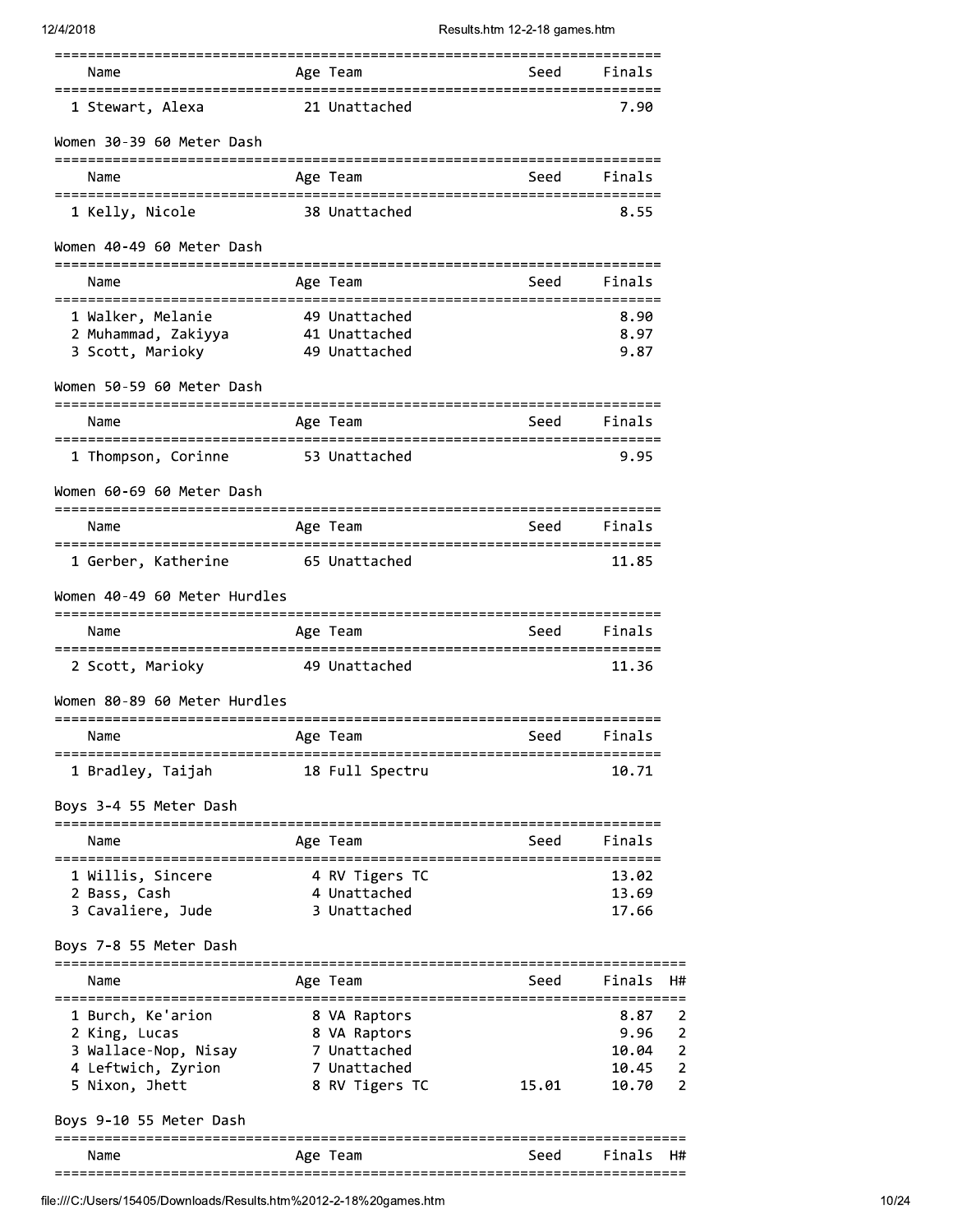| Name                                                                                                            |          | Age Team                                                       | Seed                                  | Finals                                  |                                                                     |
|-----------------------------------------------------------------------------------------------------------------|----------|----------------------------------------------------------------|---------------------------------------|-----------------------------------------|---------------------------------------------------------------------|
| 1 Stewart, Alexa                                                                                                |          | 21 Unattached                                                  |                                       | 7.90                                    |                                                                     |
| Women 30-39 60 Meter Dash                                                                                       |          |                                                                |                                       |                                         |                                                                     |
| Name                                                                                                            |          | Age Team                                                       | Seed                                  | Finals                                  |                                                                     |
| ======================================<br>1 Kelly, Nicole                                                       |          | 38 Unattached                                                  | ===================================== | 8.55                                    |                                                                     |
| Women 40-49 60 Meter Dash                                                                                       |          |                                                                |                                       |                                         |                                                                     |
| Name                                                                                                            |          | Age Team                                                       | Seed                                  | Finals                                  |                                                                     |
| 1 Walker, Melanie<br>2 Muhammad, Zakiyya<br>41 Unattached<br>3 Scott, Marioky                                   |          | 49 Unattached<br>49 Unattached                                 |                                       | 8.90<br>8.97<br>9.87                    |                                                                     |
| Women 50-59 60 Meter Dash                                                                                       |          |                                                                |                                       |                                         |                                                                     |
| Name                                                                                                            |          | Age Team                                                       | Seed                                  | Finals                                  |                                                                     |
| 1 Thompson, Corinne                                                                                             |          | 53 Unattached                                                  |                                       | 9.95                                    |                                                                     |
| Women 60-69 60 Meter Dash                                                                                       |          |                                                                |                                       |                                         |                                                                     |
| Name                                                                                                            |          | Age Team                                                       | Seed                                  | Finals                                  |                                                                     |
| 1 Gerber, Katherine                                                                                             |          | 65 Unattached                                                  |                                       | 11.85                                   |                                                                     |
| Women 40-49 60 Meter Hurdles                                                                                    |          |                                                                |                                       |                                         |                                                                     |
| Name                                                                                                            |          | Age Team                                                       | Seed                                  | Finals                                  |                                                                     |
| 2 Scott, Marioky                                                                                                |          | 49 Unattached                                                  |                                       | 11.36                                   |                                                                     |
| Women 80-89 60 Meter Hurdles                                                                                    |          |                                                                |                                       |                                         |                                                                     |
| Name                                                                                                            | Age Team |                                                                | seed Seed                             | Finals                                  |                                                                     |
| 1 Bradley, Taijah                                                                                               |          | 18 Full Spectru                                                |                                       | 10.71                                   |                                                                     |
| Boys 3-4 55 Meter Dash                                                                                          |          |                                                                |                                       |                                         |                                                                     |
| Name                                                                                                            |          | Age Team                                                       |                                       | Seed Finals                             |                                                                     |
| 1 Willis, Sincere<br>2 Bass, Cash<br>3 Cavaliere, Jude                                                          |          | 4 RV Tigers TC<br>4 Unattached<br>3 Unattached                 |                                       | 13.02<br>13.69<br>17.66                 |                                                                     |
| Boys 7-8 55 Meter Dash                                                                                          |          |                                                                |                                       |                                         |                                                                     |
| Name                                                                                                            |          | Age Team                                                       | Seed                                  | Finals                                  | - H#                                                                |
| 1 Burch, Ke'arion<br>2 King, Lucas<br>3 Wallace-Nop, Nisay 7 Unattached<br>4 Leftwich, Zyrion<br>5 Nixon, Jhett |          | 8 VA Raptors<br>8 VA Raptors<br>7 Unattached<br>8 RV Tigers TC | 15.01                                 | 8.87<br>9.96<br>10.04<br>10.45<br>10.70 | 2<br>$\overline{2}$<br>$\mathbf 2$<br>$\mathbf 2$<br>$\overline{2}$ |
| Boys 9-10 55 Meter Dash                                                                                         |          |                                                                |                                       |                                         |                                                                     |
| Name                                                                                                            |          | Age Team                                                       | Seed                                  | Finals                                  | H#                                                                  |

file:///C:/Users/15405/Downloads/Results.htm%2012-2-18%20games.htm

 $\begin{array}{c} 2 \\ 2 \\ 2 \\ 2 \end{array}$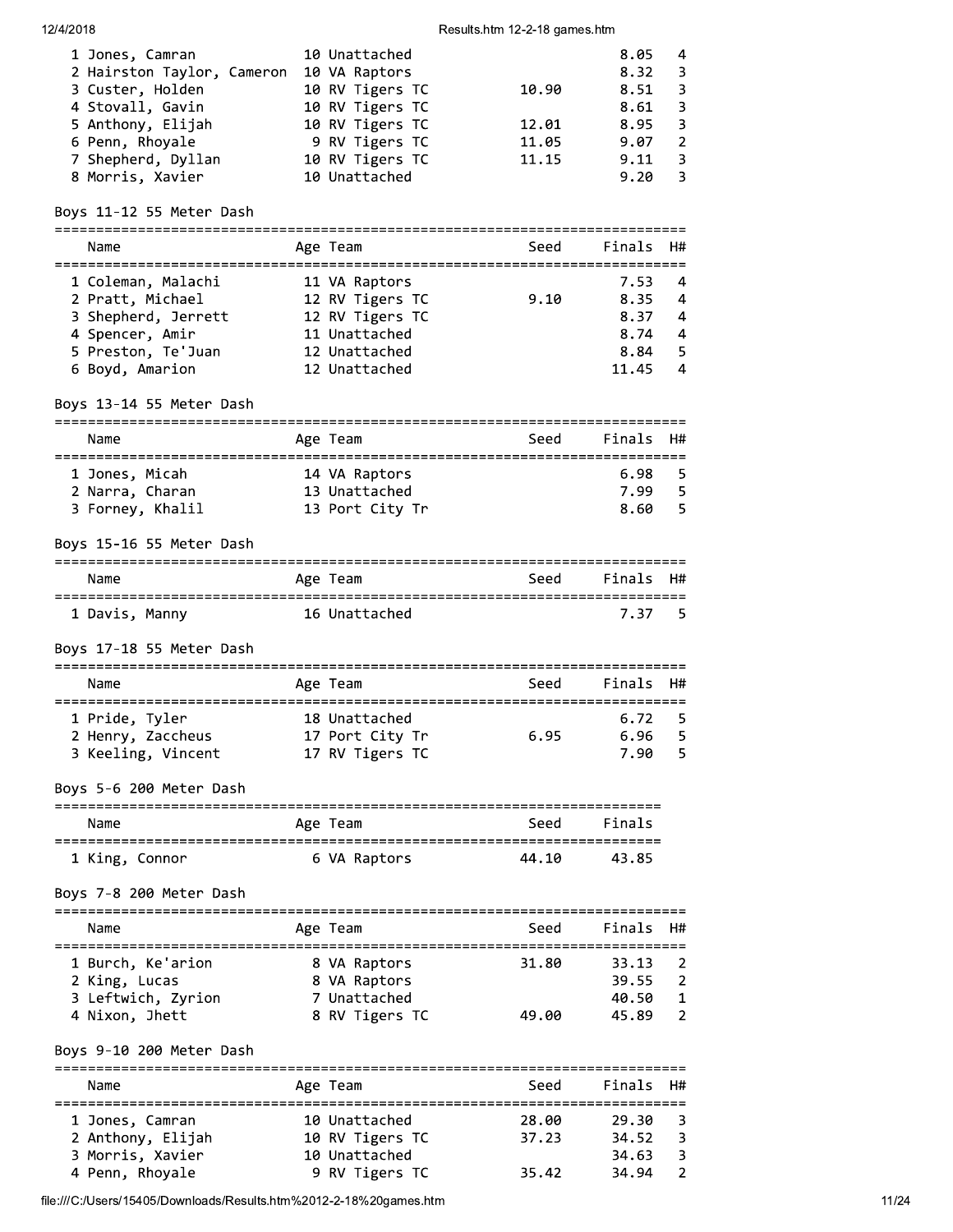#### 12/4/2018

# Results.htm 12-2-18 games.htm

| 1 Jones, Camran            | 10 Unattached            | 8.05 | 4             |
|----------------------------|--------------------------|------|---------------|
| 2 Hairston Taylor, Cameron | 10 VA Raptors            | 8.32 | 3             |
| 3 Custer, Holden           | 10 RV Tigers TC<br>10.90 | 8.51 | 3             |
| 4 Stovall, Gavin           | 10 RV Tigers TC          | 8.61 | 3             |
| 5 Anthony, Elijah          | 10 RV Tigers TC<br>12.01 | 8.95 | 3             |
| 6 Penn, Rhoyale            | 9 RV Tigers TC<br>11.05  | 9.07 | $\mathcal{L}$ |
| 7 Shepherd, Dyllan         | 10 RV Tigers TC<br>11.15 | 9.11 | 3             |
| 8 Morris, Xavier           | 10 Unattached            | 9.20 | 3             |
|                            |                          |      |               |

# Boys 11-12 55 Meter Dash

| Name                | Age Team        | Seed | Finals H# |                |
|---------------------|-----------------|------|-----------|----------------|
| 1 Coleman, Malachi  | 11 VA Raptors   | 9.10 | 7.53      | -4             |
| 2 Pratt, Michael    | 12 RV Tigers TC |      | 8.35      | -4             |
| 3 Shepherd, Jerrett | 12 RV Tigers TC |      | 8.37      | 4              |
| 4 Spencer, Amir     | 11 Unattached   |      | 8.74      | $\overline{4}$ |
| 5 Preston, Te'Juan  | 12 Unattached   |      | 8.84      | - 5            |
| 6 Boyd, Amarion     | 12 Unattached   |      | 11.45     | 4              |

# Boys 13-14 55 Meter Dash

| Name           |                  |  | Age Team        |  | Seed |  | Finals H# |     |  |  |
|----------------|------------------|--|-----------------|--|------|--|-----------|-----|--|--|
|                |                  |  |                 |  |      |  |           |     |  |  |
| 1 Jones, Micah |                  |  | 14 VA Raptors   |  |      |  | $6.98-5$  |     |  |  |
|                | 2 Narra, Charan  |  | 13 Unattached   |  |      |  | 7.99      | - 5 |  |  |
|                | 3 Forney, Khalil |  | 13 Port City Tr |  |      |  | 8.60      | - 5 |  |  |

# Boys 15-16 55 Meter Dash

| Name           |  | Age Team      | Seed | Finals H# |     |
|----------------|--|---------------|------|-----------|-----|
| 1 Davis, Manny |  | 16 Unattached |      | 7.37      | - 5 |

# Boys 17-18 55 Meter Dash

| Name                                                      | Age Team                                            | Seed | Finals H#                      |            |
|-----------------------------------------------------------|-----------------------------------------------------|------|--------------------------------|------------|
| 1 Pride, Tyler<br>2 Henry, Zaccheus<br>3 Keeling, Vincent | 18 Unattached<br>17 Port City Tr<br>17 RV Tigers TC | 6.95 | $6.72 \quad 5$<br>6.96<br>7.90 | - 5<br>- 5 |

Boys 5-6 200 Meter Dash

| Name           | Age Team     | Seed  | Finals |
|----------------|--------------|-------|--------|
| 1 King, Connor | 6 VA Raptors | 44.10 | 43.85  |

# Boys 7-8 200 Meter Dash

| Name                                                     | Age Team                                     | Seed  | Finals H#               |                                       |
|----------------------------------------------------------|----------------------------------------------|-------|-------------------------|---------------------------------------|
| 1 Burch, Ke'arion<br>2 King, Lucas<br>3 Leftwich, Zyrion | 8 VA Raptors<br>8 VA Raptors<br>7 Unattached | 31.80 | 33.13<br>39.55<br>40.50 | $\overline{2}$<br>$\mathcal{P}$<br>-1 |
| 4 Nixon, Jhett                                           | 8 RV Tigers TC                               | 49.00 | 45.89                   | $\mathcal{P}$                         |

# Boys 9-10 200 Meter Dash

| Name              |  | Age Team        | Seed  | Finals H# |  |  |  |
|-------------------|--|-----------------|-------|-----------|--|--|--|
| 1 Jones, Camran   |  | 10 Unattached   | 28.00 | 29.30     |  |  |  |
| 2 Anthony, Elijah |  | 10 RV Tigers TC | 37.23 | 34.52     |  |  |  |
| 3 Morris, Xavier  |  | 10 Unattached   |       | 34.63     |  |  |  |
| 4 Penn, Rhovale   |  | 9 RV Tigers TC  | 35.42 | 34.94     |  |  |  |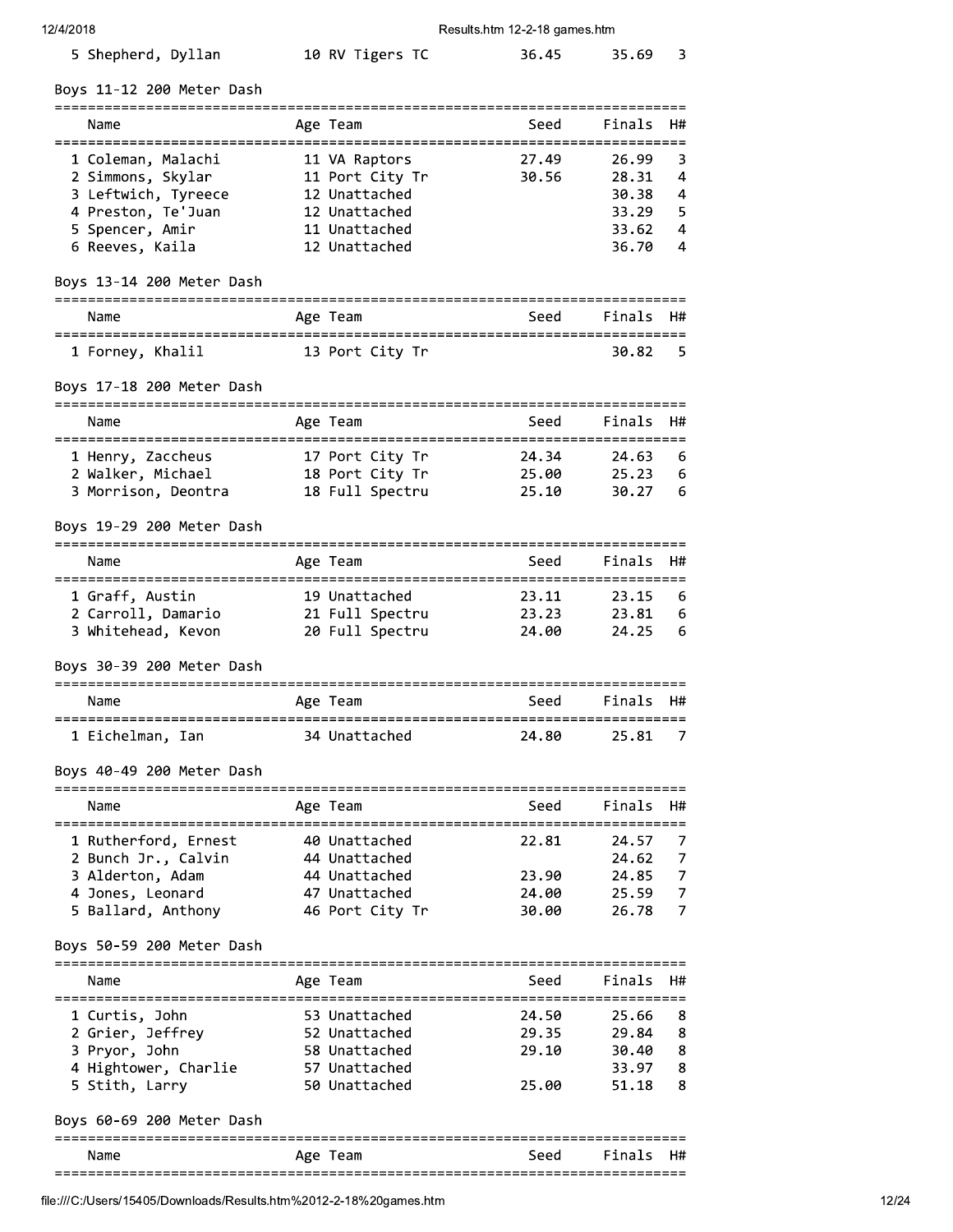| 5 Shepherd, Dyllan<br>10 RV Tigers TC<br>36.45 | 35.69 3 |  |
|------------------------------------------------|---------|--|
|------------------------------------------------|---------|--|

Boys 11-12 200 Meter Dash

| Name                |                   | Seed                                                                                                             |       |                         |
|---------------------|-------------------|------------------------------------------------------------------------------------------------------------------|-------|-------------------------|
| 1 Coleman, Malachi  |                   | 27.49                                                                                                            | 26.99 | $\overline{\mathbf{3}}$ |
|                     |                   | 30.56                                                                                                            |       | $\overline{4}$          |
| 3 Leftwich, Tyreece |                   |                                                                                                                  | 30.38 | 4                       |
| 4 Preston, Te'Juan  |                   |                                                                                                                  | 33.29 | -5.                     |
| 5 Spencer, Amir     |                   |                                                                                                                  | 33.62 | 4                       |
| 6 Reeves, Kaila     |                   |                                                                                                                  | 36.70 | 4                       |
|                     | 2 Simmons, Skylar | Age Team<br>11 VA Raptors<br>11 Port City Tr<br>12 Unattached<br>12 Unattached<br>11 Unattached<br>12 Unattached |       | Finals H#<br>28.31      |

# Boys 13-14 200 Meter Dash

| Name             | Age Team        | Seed | Finals H# |     |
|------------------|-----------------|------|-----------|-----|
| 1 Forney, Khalil | 13 Port City Tr |      | 30.82     | - 5 |

# Boys 17-18 200 Meter Dash

| Name                | Age Team        | Seed  | Finals H#      |     |
|---------------------|-----------------|-------|----------------|-----|
|                     |                 |       |                |     |
| 1 Henry, Zaccheus   | 17 Port City Tr | 24.34 | $24.63\quad 6$ |     |
| 2 Walker, Michael   | 18 Port City Tr | 25.00 | 25.23          | -6  |
| 3 Morrison, Deontra | 18 Full Spectru | 25.10 | 30.27          | - 6 |

# Boys 19-29 200 Meter Dash

| Name               | Age Team        | Seed  | Finals H# |     |
|--------------------|-----------------|-------|-----------|-----|
| 1 Graff, Austin    | 19 Unattached   | 23.11 | 23.15     | - 6 |
| 2 Carroll, Damario | 21 Full Spectru | 23.23 | 23.81     | -6  |
| 3 Whitehead, Kevon | 20 Full Spectru | 24.00 | 24.25     | - 6 |

# Boys 30-39 200 Meter Dash

| Name             | Age Team      | Seed  | Finals H# |    |
|------------------|---------------|-------|-----------|----|
| 1 Eichelman. Ian | 34 Unattached | 24.80 | -25.81    | -7 |

# Boys 40-49 200 Meter Dash

| Name                 | Age Team        | Seed  | Finals H# |                |
|----------------------|-----------------|-------|-----------|----------------|
|                      |                 |       |           |                |
| 1 Rutherford, Ernest | 40 Unattached   | 22.81 | 24.57     | - 7            |
| 2 Bunch Jr., Calvin  | 44 Unattached   |       | 24.62     | $\overline{7}$ |
| 3 Alderton, Adam     | 44 Unattached   | 23.90 | 24.85     | $\overline{7}$ |
| 4 Jones, Leonard     | 47 Unattached   | 24.00 | 25.59     | - 7            |
| 5 Ballard, Anthony   | 46 Port City Tr | 30.00 | 26.78     | $\overline{7}$ |
|                      |                 |       |           |                |

#### Boys 50-59 200 Meter Dash

| Name                 |  | Seed                                                                                          | Finals H# |     |
|----------------------|--|-----------------------------------------------------------------------------------------------|-----------|-----|
| 1 Curtis, John       |  | 24.50                                                                                         | 25.66     | - 8 |
| 2 Grier, Jeffrey     |  | 29.35                                                                                         | 29.84     | -8  |
| 3 Pryor, John        |  | 29.10                                                                                         | 30.40     | -8  |
| 4 Hightower, Charlie |  |                                                                                               | 33.97     | -8  |
| 5 Stith, Larry       |  | 25.00                                                                                         | 51.18     | -8  |
|                      |  | Age Team<br>53 Unattached<br>52 Unattached<br>58 Unattached<br>57 Unattached<br>50 Unattached |           |     |

# Boys 60-69 200 Meter Dash

| $ -$              |             |      |        | -- |  |  |
|-------------------|-------------|------|--------|----|--|--|
| Name              | Age<br>'eam | Seed | Finals | H# |  |  |
| $-$<br>__<br>$ -$ |             |      |        |    |  |  |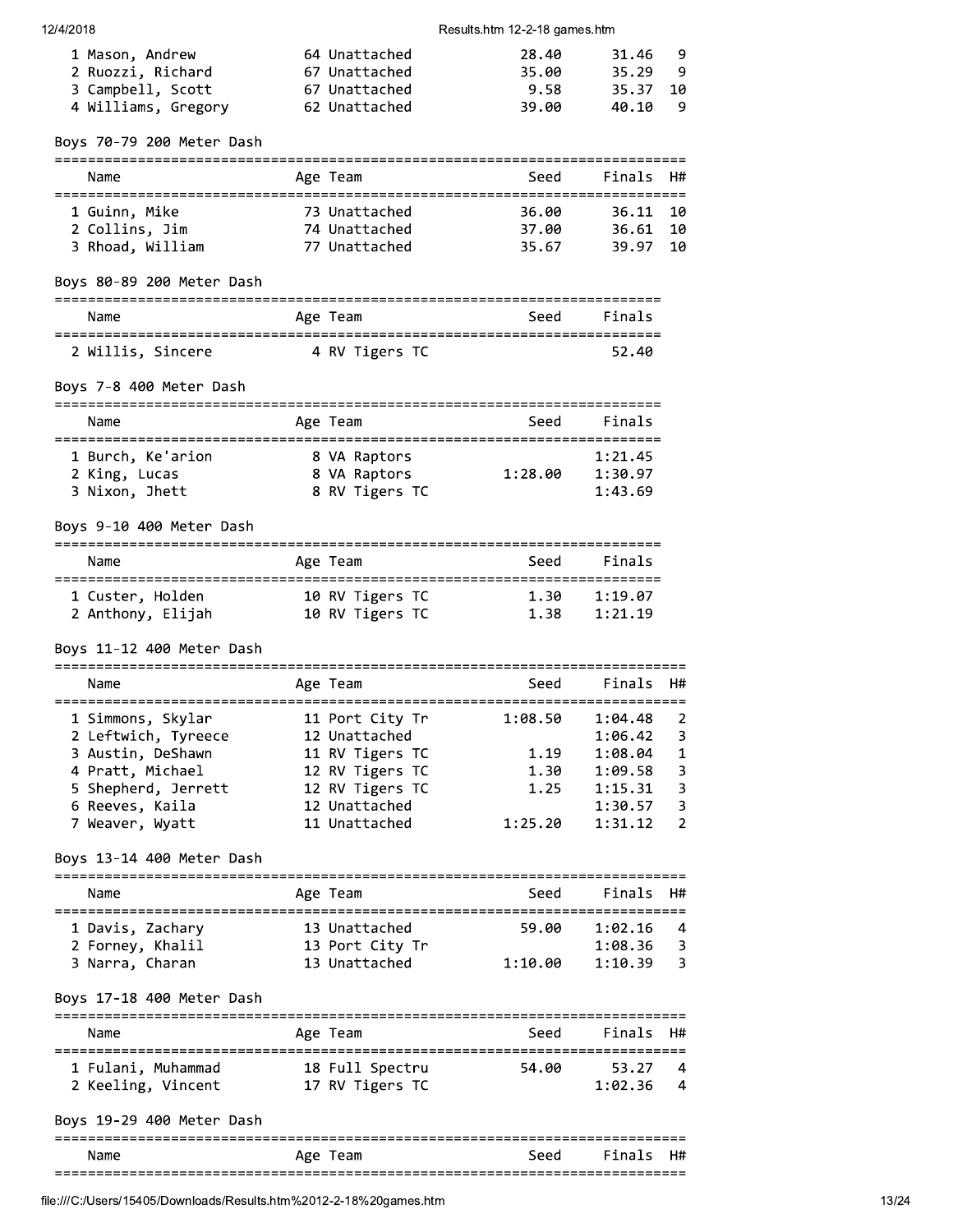| 1 Mason, Andrew     | 64 Unattached | 28.40 | 31.46 9  |  |
|---------------------|---------------|-------|----------|--|
| 2 Ruozzi, Richard   | 67 Unattached | 35.00 | 35.29 9  |  |
| 3 Campbell, Scott   | 67 Unattached | 9.58  | 35.37 10 |  |
| 4 Williams, Gregory | 62 Unattached | 39.00 | 40.10 9  |  |

Boys 70-79 200 Meter Dash

| Name             | Age Team      | Seed  | Finals H# |     |
|------------------|---------------|-------|-----------|-----|
| 1 Guinn, Mike    | 73 Unattached | 36.00 | 36.11 10  |     |
| 2 Collins, Jim   | 74 Unattached | 37.00 | 36.61 10  |     |
| 3 Rhoad, William | 77 Unattached | 35.67 | 39.97     | -10 |

# Boys 80-89 200 Meter Dash

| Name              | Age Team       | Seed | Finals |
|-------------------|----------------|------|--------|
| 2 Willis, Sincere | 4 RV Tigers TC |      | 52.40  |

# Boys 7-8 400 Meter Dash

| Name              | Age Team       | Seed    | Finals  |
|-------------------|----------------|---------|---------|
| 1 Burch, Ke'arion | 8 VA Raptors   | 1:28.00 | 1:21.45 |
| 2 King, Lucas     | 8 VA Raptors   |         | 1:30.97 |
| 3 Nixon, Jhett    | 8 RV Tigers TC |         | 1:43.69 |

# Boys 9-10 400 Meter Dash

| Name              | Age Team        | Seed | Finals  |
|-------------------|-----------------|------|---------|
| 1 Custer, Holden  | 10 RV Tigers TC | า 30 | 1:19.07 |
| 2 Anthony, Elijah | 10 RV Tigers TC | 1.38 | 1:21.19 |

#### Boys 11-12 400 Meter Dash

| Name                                                                                                                        | Age Team                                                                                                   | Seed                            | Finals H#                                                      |                                                                 |
|-----------------------------------------------------------------------------------------------------------------------------|------------------------------------------------------------------------------------------------------------|---------------------------------|----------------------------------------------------------------|-----------------------------------------------------------------|
| 1 Simmons, Skylar<br>2 Leftwich, Tyreece<br>3 Austin, DeShawn<br>4 Pratt, Michael<br>5 Shepherd, Jerrett<br>6 Reeves, Kaila | 11 Port City Tr<br>12 Unattached<br>11 RV Tigers TC<br>12 RV Tigers TC<br>12 RV Tigers TC<br>12 Unattached | 1:08.50<br>1.19<br>1.30<br>1.25 | 1:04.48<br>1:06.42<br>1:08.04<br>1:09.58<br>1:15.31<br>1:30.57 | $\overline{2}$<br>$\overline{\mathbf{3}}$<br>1<br>3<br>-3<br>З. |
| 7 Weaver, Wyatt                                                                                                             | 11 Unattached                                                                                              | 1:25.20                         | 1:31.12                                                        | $\overline{2}$                                                  |
|                                                                                                                             |                                                                                                            |                                 |                                                                |                                                                 |

# Boys 13-14 400 Meter Dash

| Name |                                      | Age Team                         | Seed    | Finals H#          |            |
|------|--------------------------------------|----------------------------------|---------|--------------------|------------|
|      | 1 Davis, Zachary<br>2 Forney, Khalil | 13 Unattached<br>13 Port City Tr | 59.00   | 1:02.16<br>1:08.36 | - 4<br>- 3 |
|      | 3 Narra, Charan                      | 13 Unattached                    | 1:10.00 | 1:10.39            | - 3        |

# Boys 17-18 400 Meter Dash

| Name               | Age Team        | Seed  | Finals H# |                |
|--------------------|-----------------|-------|-----------|----------------|
| 1 Fulani, Muhammad | 18 Full Spectru | 54.00 | 53.27     | $\overline{a}$ |
| 2 Keeling, Vincent | 17 RV Tigers TC |       | 1:02.36   | $\overline{4}$ |

# Boys 19-29 400 Meter Dash

| __   |            |      |    |
|------|------------|------|----|
| Name | Age<br>eam | ina. | H# |
| ---  |            |      |    |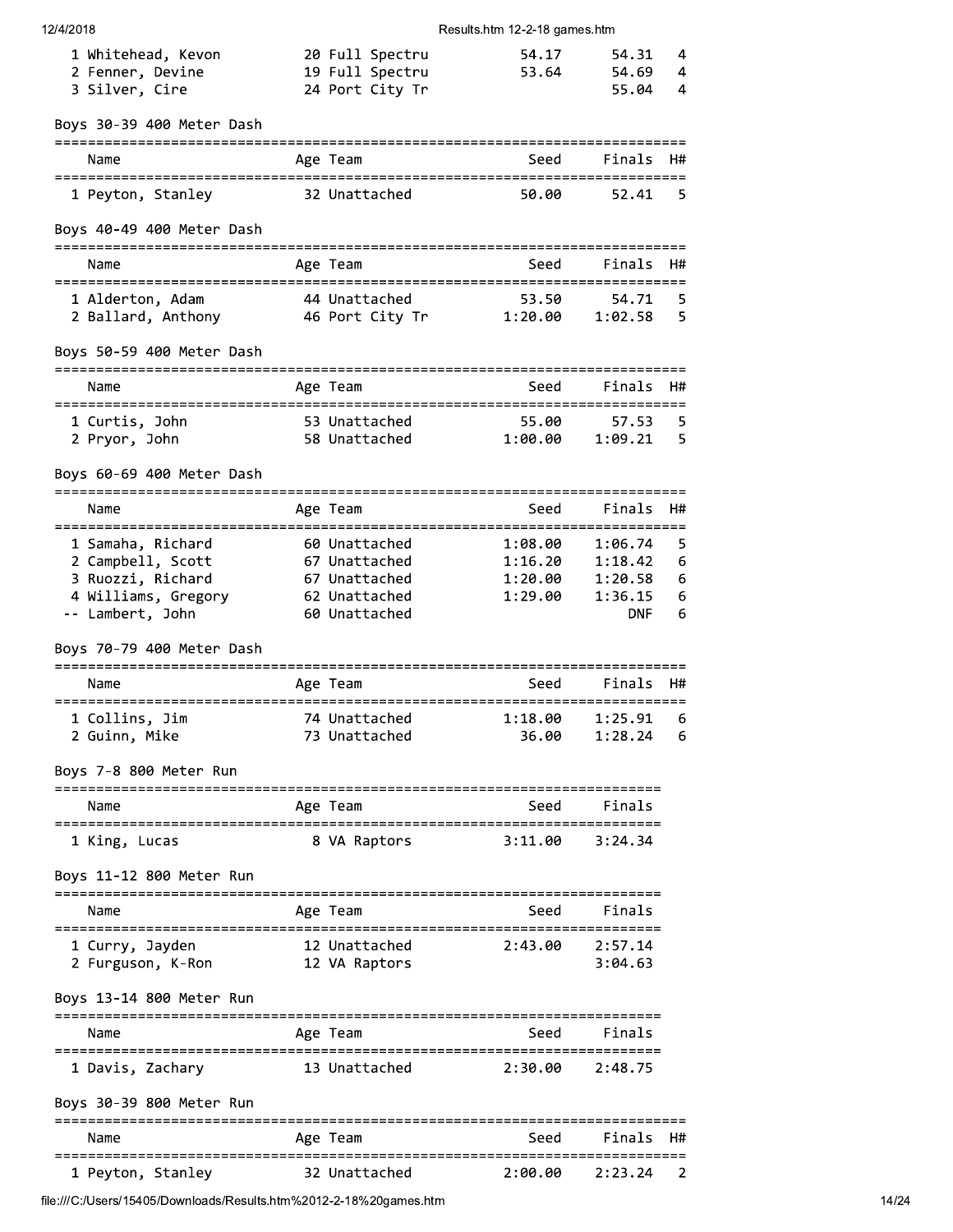| 12/4/2018                                                          |                                | Results.htm 12-2-18 games.htm           |                |        |
|--------------------------------------------------------------------|--------------------------------|-----------------------------------------|----------------|--------|
| 1 Whitehead, Kevon                                                 | 20 Full Spectru                | 54.17                                   | 54.31          | 4      |
| 2 Fenner, Devine                                                   | 19 Full Spectru                | 53.64                                   | 54.69          | 4      |
| 3 Silver, Cire                                                     | 24 Port City Tr                |                                         | 55.04          | 4      |
| Boys 30-39 400 Meter Dash<br>=====================                 | ============                   |                                         |                |        |
| Name                                                               | Age Team                       | Seed                                    | Finals         | H#     |
| 1 Peyton, Stanley                                                  | 32 Unattached                  | 50.00                                   | 52.41          | 5      |
| Boys 40-49 400 Meter Dash                                          |                                |                                         |                |        |
| Name                                                               | Age Team                       | Seed                                    | Finals         | H#     |
| 1 Alderton, Adam                                                   | 44 Unattached                  | 53.50                                   | 54.71          | 5      |
| 2 Ballard, Anthony 16 Port City Tr 1:20.00                         |                                |                                         | 1:02.58        | 5      |
| Boys 50-59 400 Meter Dash                                          |                                |                                         |                |        |
| Name                                                               | Age Team                       | Seed                                    | Finals         | H#     |
| 1 Curtis, John                                                     | 53 Unattached                  | 55.00                                   | 57.53          | 5      |
| 2 Pryor, John                                                      | 58 Unattached                  | 1:00.00                                 | 1:09.21        | 5      |
| Boys 60-69 400 Meter Dash                                          |                                |                                         |                |        |
| Name                                                               | Age Team                       | Seed                                    | Finals         | H#     |
| 1 Samaha, Richard                                                  | 60 Unattached                  | ============================<br>1:08.00 | 1:06.74        | 5      |
| 2 Campbell, Scott                                                  | 67 Unattached                  | 1:16.20                                 | 1:18.42        | 6      |
| 3 Ruozzi, Richard                                                  | 67 Unattached                  | 1:20.00                                 | 1:20.58        | 6      |
| 4 Williams, Gregory<br>-- Lambert, John                            | 62 Unattached<br>60 Unattached | 1:29.00                                 | 1:36.15<br>DNF | 6<br>6 |
| Boys 70-79 400 Meter Dash                                          |                                |                                         |                |        |
| Name                                                               | Age Team                       | Seed                                    | Finals         | H#     |
|                                                                    |                                |                                         |                |        |
| 1 Collins, Jim                                                     | 74 Unattached                  | 1:18.00                                 | 1:25.91        | 6      |
| 2 Guinn, Mike                                                      | 73 Unattached                  | 36.00                                   | 1:28.24        | 6      |
| Boys 7-8 800 Meter Run                                             |                                |                                         |                |        |
| Name                                                               | Age Team                       | Seed                                    | Finals         |        |
| 1 King, Lucas                                                      | 8 VA Raptors                   | 3:11.00                                 | 3:24.34        |        |
| Boys 11-12 800 Meter Run<br>-------------------------------------- |                                | ===============================         |                |        |
| Name                                                               | Age Team                       | Seed                                    | Finals         |        |
| :=============                                                     |                                |                                         |                |        |
|                                                                    |                                |                                         |                |        |

Name Age Team Seed  $Finals$ 1 Davis, Zachary 13 Unattached  $2:30.00$  $2:48.75$ 

# Boys 30-39 800 Meter Run

| Name              | Age Team      | Seed    | Finals H# |  |
|-------------------|---------------|---------|-----------|--|
| 1 Peyton, Stanley | 32 Unattached | 2:00.00 | 2:23.24   |  |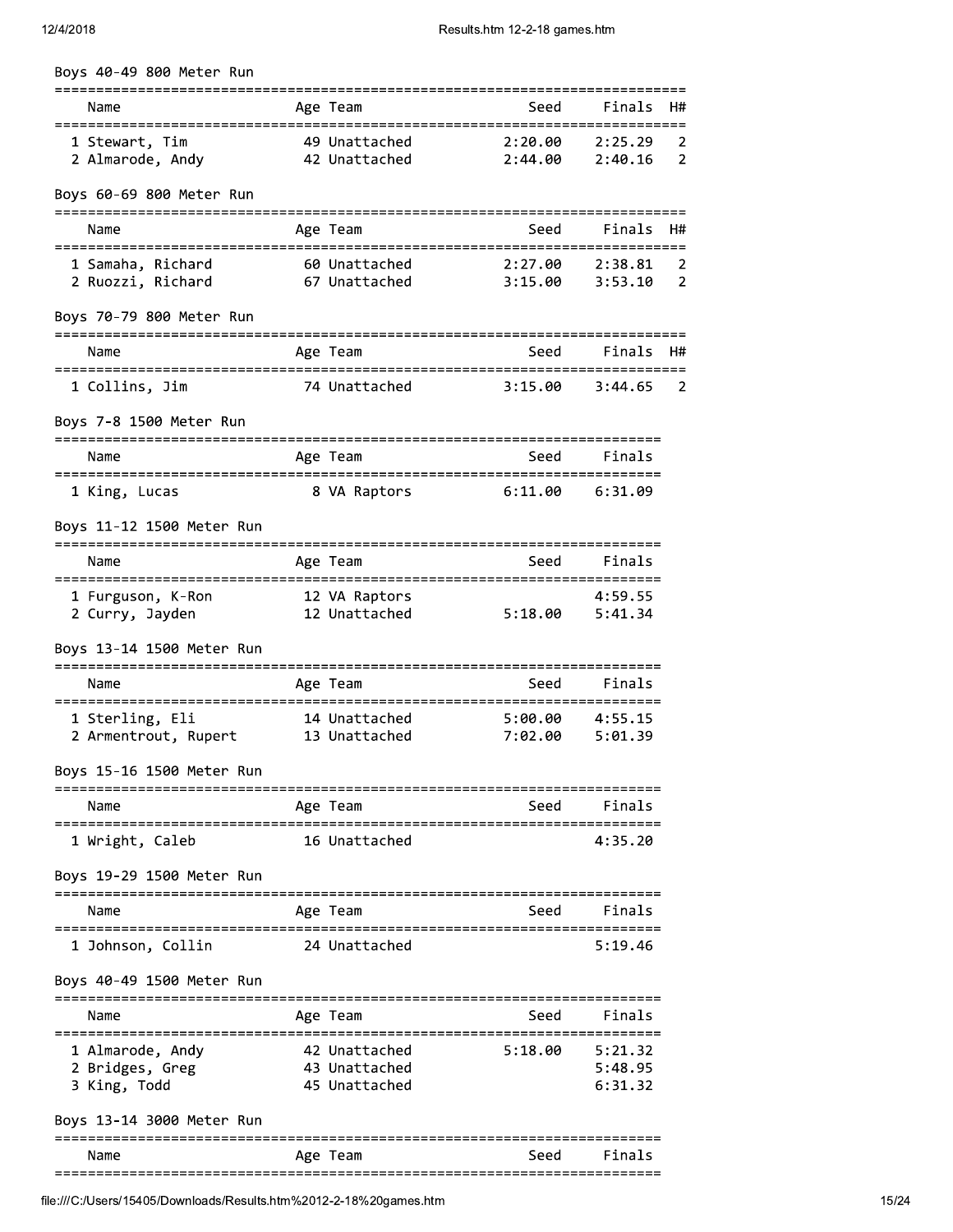| 12/4/2018                                             | Results.htm 12-2-18 games.htm |                                                 |                                   |                               |    |  |
|-------------------------------------------------------|-------------------------------|-------------------------------------------------|-----------------------------------|-------------------------------|----|--|
| Boys 40-49 800 Meter Run                              |                               |                                                 |                                   |                               |    |  |
| Name                                                  |                               | Age Team                                        | Seed                              | Finals                        | H# |  |
| 1 Stewart, Tim<br>2 Almarode, Andy                    |                               | 49 Unattached<br>42 Unattached                  | 2:20.00<br>2:44.00                | 2:25.29<br>2:40.16            |    |  |
| Boys 60-69 800 Meter Run                              |                               |                                                 |                                   |                               |    |  |
| Name                                                  |                               | Age Team                                        | Seed                              | Finals                        | H# |  |
| 1 Samaha, Richard<br>2 Ruozzi, Richard                |                               | 60 Unattached<br>67 Unattached                  | 2:27.00<br>3:15.00                | 2:38.81<br>3:53.10            |    |  |
| Boys 70-79 800 Meter Run                              |                               |                                                 |                                   |                               |    |  |
| Name                                                  |                               | Age Team                                        | Seed                              | Finals                        | H# |  |
| 1 Collins, Jim                                        |                               | 74 Unattached                                   | 3:15.00                           | 3:44.65                       |    |  |
| Boys 7-8 1500 Meter Run                               |                               |                                                 |                                   |                               |    |  |
| Name                                                  |                               | Age Team                                        | Seed                              | Finals                        |    |  |
| 1 King, Lucas                                         |                               | 8 VA Raptors                                    | 6:11.00                           | 6:31.09                       |    |  |
| Boys 11-12 1500 Meter Run                             |                               |                                                 |                                   |                               |    |  |
| Name                                                  |                               | Age Team                                        | Seed                              | Finals                        |    |  |
| 1 Furguson, K-Ron<br>2 Curry, Jayden                  |                               | 12 VA Raptors<br>12 Unattached                  | 5:18.00                           | 4:59.55<br>5:41.34            |    |  |
| Boys 13-14 1500 Meter Run                             |                               | -----------                                     |                                   |                               |    |  |
| Name<br>===============                               | -----------                   | Age Team                                        | Seed<br>========================= | Finals                        |    |  |
| 1 Sterling, Eli<br>2 Armentrout, Rupert 13 Unattached |                               | 14 Unattached                                   | 5:00.00<br>7:02.00                | 4:55.15<br>5:01.39            |    |  |
| Boys 15-16 1500 Meter Run                             |                               |                                                 |                                   |                               |    |  |
| Name                                                  |                               | Age Team                                        | Seed                              | Finals                        |    |  |
| 1 Wright, Caleb                                       |                               | 16 Unattached                                   |                                   | 4:35.20                       |    |  |
| Boys 19-29 1500 Meter Run                             |                               |                                                 | -------------                     |                               |    |  |
| Name                                                  |                               | ==============<br>Age Team                      | Seed                              | Finals                        |    |  |
| 1 Johnson, Collin                                     |                               | 24 Unattached                                   |                                   | :==============<br>5:19.46    |    |  |
| Boys 40-49 1500 Meter Run                             |                               |                                                 |                                   |                               |    |  |
| Name                                                  |                               | Age Team                                        | Seed                              | Finals                        |    |  |
| 1 Almarode, Andy<br>2 Bridges, Greg<br>3 King, Todd   |                               | 42 Unattached<br>43 Unattached<br>45 Unattached | 5:18.00                           | 5:21.32<br>5:48.95<br>6:31.32 |    |  |
| Boys 13-14 3000 Meter Run                             |                               |                                                 |                                   |                               |    |  |
| Name                                                  |                               | Age Team                                        | Seed                              | Finals                        |    |  |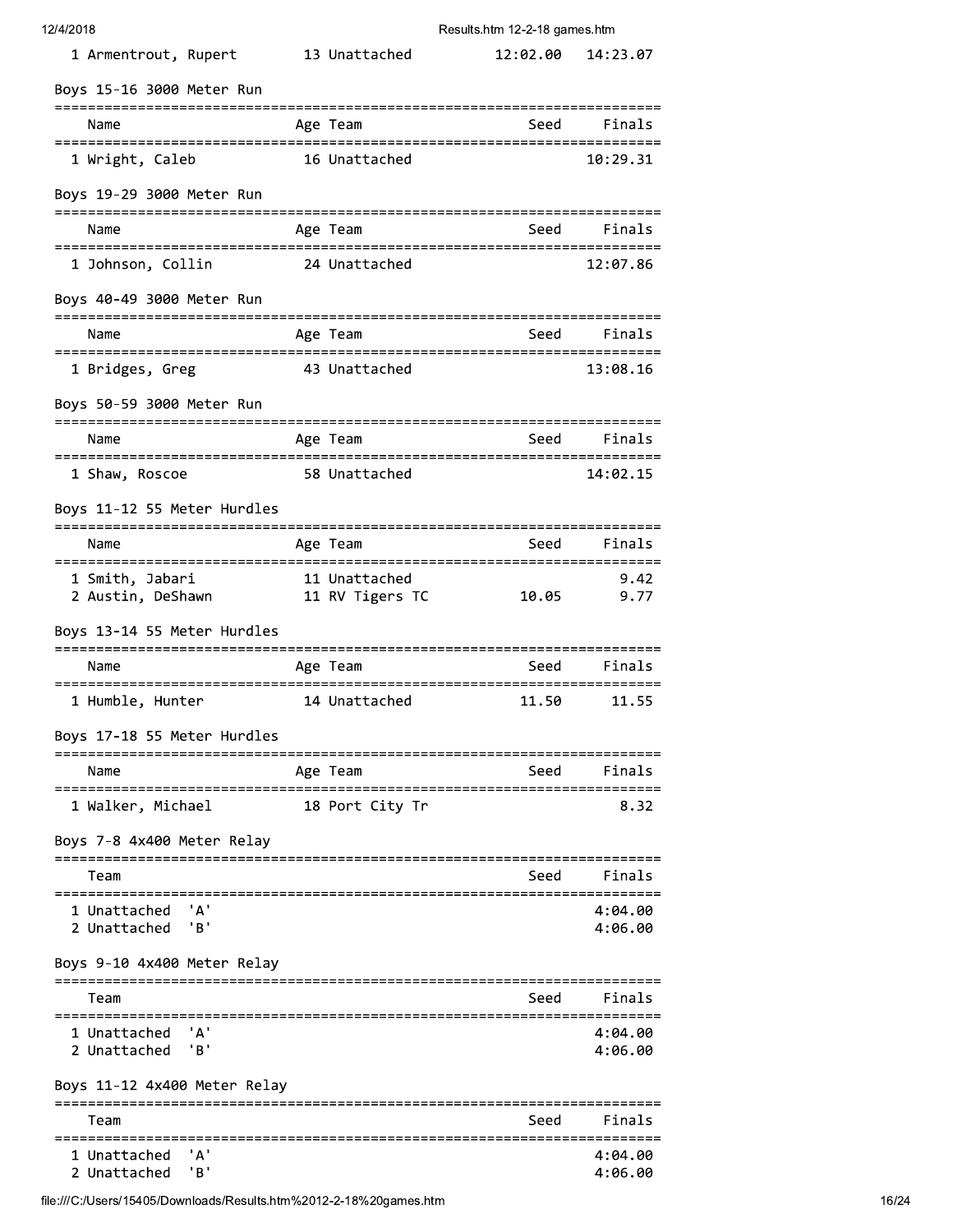| 12/4/2018 |  |
|-----------|--|
|-----------|--|

| 1 Armentrout, Rupert                                 | 13 Unattached        | 12:02.00 | 14:23.07           |
|------------------------------------------------------|----------------------|----------|--------------------|
| Boys 15-16 3000 Meter Run                            |                      |          |                    |
| Name                                                 | Age Team             | Seed     | Finals             |
| 1 Wright, Caleb                                      | 16 Unattached        |          | 10:29.31           |
|                                                      |                      |          |                    |
| Boys 19-29 3000 Meter Run                            |                      |          |                    |
| Name                                                 | Age Team             | Seed     | Finals             |
| 1 Johnson, Collin                                    | 24 Unattached        |          | 12:07.86           |
| Boys 40-49 3000 Meter Run                            |                      |          |                    |
| Name                                                 | Age Team             | Seed     | Finals             |
| 1 Bridges, Greg                                      | 43 Unattached        |          | 13:08.16           |
| Boys 50-59 3000 Meter Run                            |                      |          |                    |
| Name                                                 | Age Team             | Seed     | Finals             |
| 1 Shaw, Roscoe                                       | 58 Unattached        |          | 14:02.15           |
| Boys 11-12 55 Meter Hurdles                          |                      |          |                    |
| Name                                                 | Age Team             | Seed     | Finals             |
| 1 Smith, Jabari<br>2 Austin, DeShawn 11 RV Tigers TC | 11 Unattached        | 10.05    | 9.42<br>9.77       |
|                                                      |                      |          |                    |
| Boys 13-14 55 Meter Hurdles                          |                      |          |                    |
| Name                                                 | Age Team             | Seed     | Finals             |
| 1 Humble, Hunter                                     | 14 Unattached        | 11.50    | 11.55              |
| Boys 17-18 55 Meter Hurdles                          |                      |          |                    |
| Name                                                 | Age Team             | Seed     | Finals             |
| 1 Walker, Michael                                    | 18 Port City Tr      |          | 8.32               |
| Boys 7-8 4x400 Meter Relay                           | -------------------- |          |                    |
| Team                                                 |                      | Seed     | Finals             |
| ' A '<br>1 Unattached                                |                      |          | 4:04.00            |
| 'B'<br>2 Unattached                                  |                      |          | 4:06.00            |
| Boys 9-10 4x400 Meter Relay                          |                      |          |                    |
| Team                                                 |                      | Seed     | Finals             |
| 'А'<br>1 Unattached<br>'B'<br>2 Unattached           |                      |          | 4:04.00<br>4:06.00 |
| Boys 11-12 4x400 Meter Relay                         |                      |          |                    |
| Team                                                 |                      | Seed     | Finals             |
| 'A'<br>1 Unattached                                  |                      |          | 4:04.00            |
| 'B'<br>2 Unattached                                  |                      |          | 4:06.00            |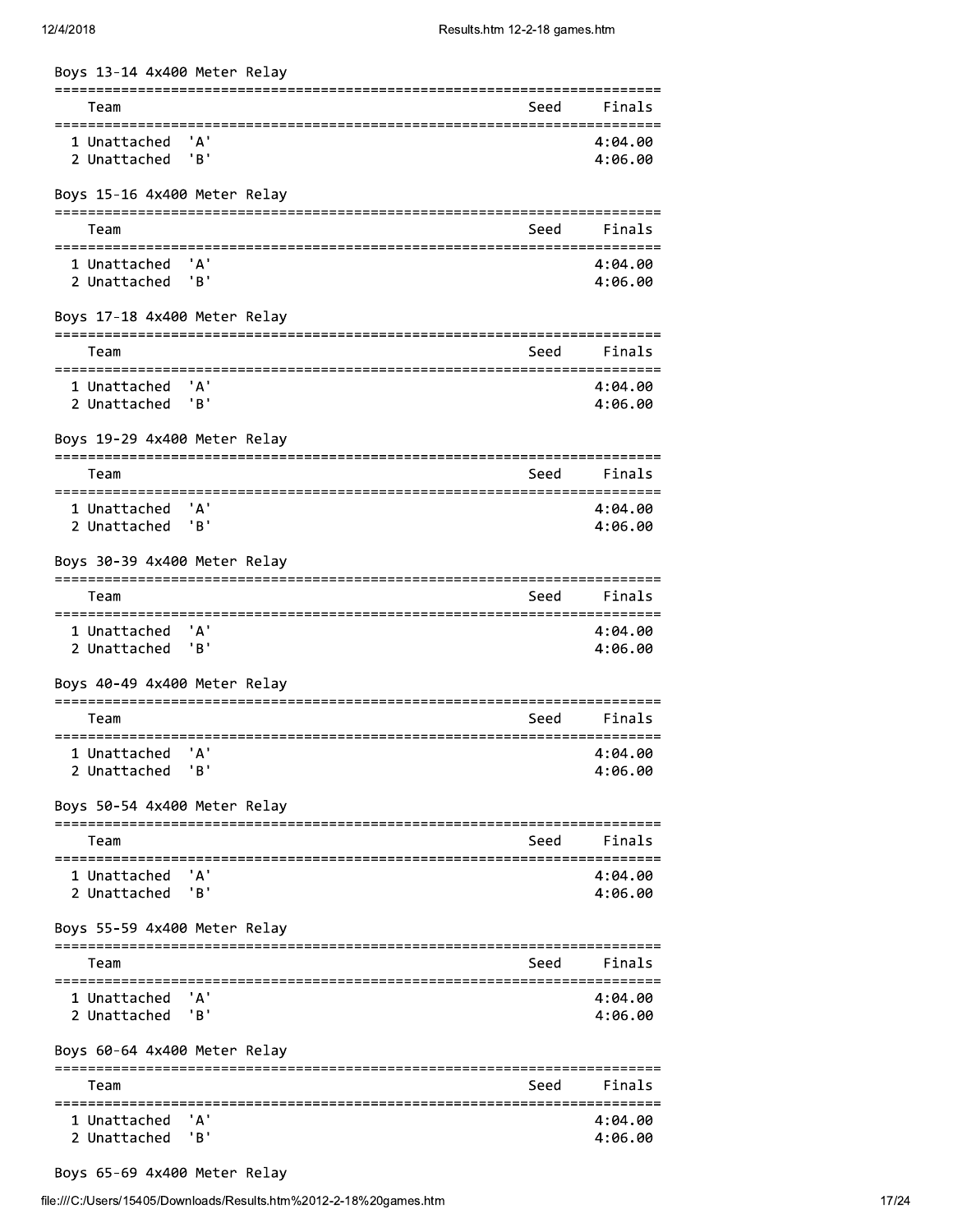| 12/4/2018                                             |                                      | Results.htm 12-2-18 games.htm            |                    |
|-------------------------------------------------------|--------------------------------------|------------------------------------------|--------------------|
| Boys 13-14 4x400 Meter Relay                          |                                      |                                          |                    |
| Team                                                  |                                      | Seed                                     | Finals             |
| 1 Unattached<br>2 Unattached                          | 'А'<br>"B"                           |                                          | 4:04.00<br>4:06.00 |
| Boys 15-16 4x400 Meter Relay                          |                                      |                                          |                    |
| ======:<br>Team                                       |                                      | Seed                                     | Finals             |
| 1 Unattached                                          | 'A'                                  |                                          | 4:04.00            |
| 2 Unattached                                          | 'B'                                  |                                          | 4:06.00            |
| Boys 17-18 4x400 Meter Relay                          |                                      |                                          |                    |
| Team                                                  |                                      | Seed                                     | Finals             |
| 1 Unattached                                          | 'А'                                  |                                          | 4:04.00            |
| 2 Unattached                                          | 'B'                                  |                                          | 4:06.00            |
| Boys 19-29 4x400 Meter Relay                          |                                      |                                          |                    |
| Team                                                  |                                      | =========================<br>Seed        | Finals             |
| =====================<br>1 Unattached<br>2 Unattached | ' A '<br>'B'                         |                                          | 4:04.00<br>4:06.00 |
| Boys 30-39 4x400 Meter Relay                          |                                      |                                          |                    |
| Team                                                  | ==================================== | ================================<br>Seed | Finals             |
| ============                                          |                                      |                                          |                    |
| 1 Unattached<br>2 Unattached                          | 'A'<br>'B'                           |                                          | 4:04.00<br>4:06.00 |
| Boys 40-49 4x400 Meter Relay                          |                                      |                                          |                    |
| Team                                                  |                                      | Seed                                     | Finals             |
| 1 Unattached                                          | 'А'                                  |                                          | 4:04.00            |
| 2 Unattached                                          | 'B'                                  |                                          | 4:06.00            |
| Boys 50-54 4x400 Meter Relay                          |                                      |                                          |                    |
| Team                                                  |                                      | Seed                                     | Finals             |
| 1 Unattached                                          | 'A'                                  |                                          | 4:04.00            |
| 2 Unattached                                          | 'B'                                  |                                          | 4:06.00            |
| Boys 55-59 4x400 Meter Relay                          |                                      |                                          |                    |
| Team                                                  |                                      | Seed                                     | Finals             |
| 1 Unattached                                          | 'A'                                  |                                          | 4:04.00            |
| 2 Unattached                                          | 'B'                                  |                                          | 4:06.00            |
| Boys 60-64 4x400 Meter Relay                          |                                      |                                          |                    |
| Team                                                  |                                      | Seed                                     | Finals             |
| 1 Unattached                                          | ' Δ'                                 |                                          | 4:04.00            |
| 2 Unattached                                          | 'B'                                  |                                          | 4:06.00            |

8oys 65-69 4x400 Meter Relay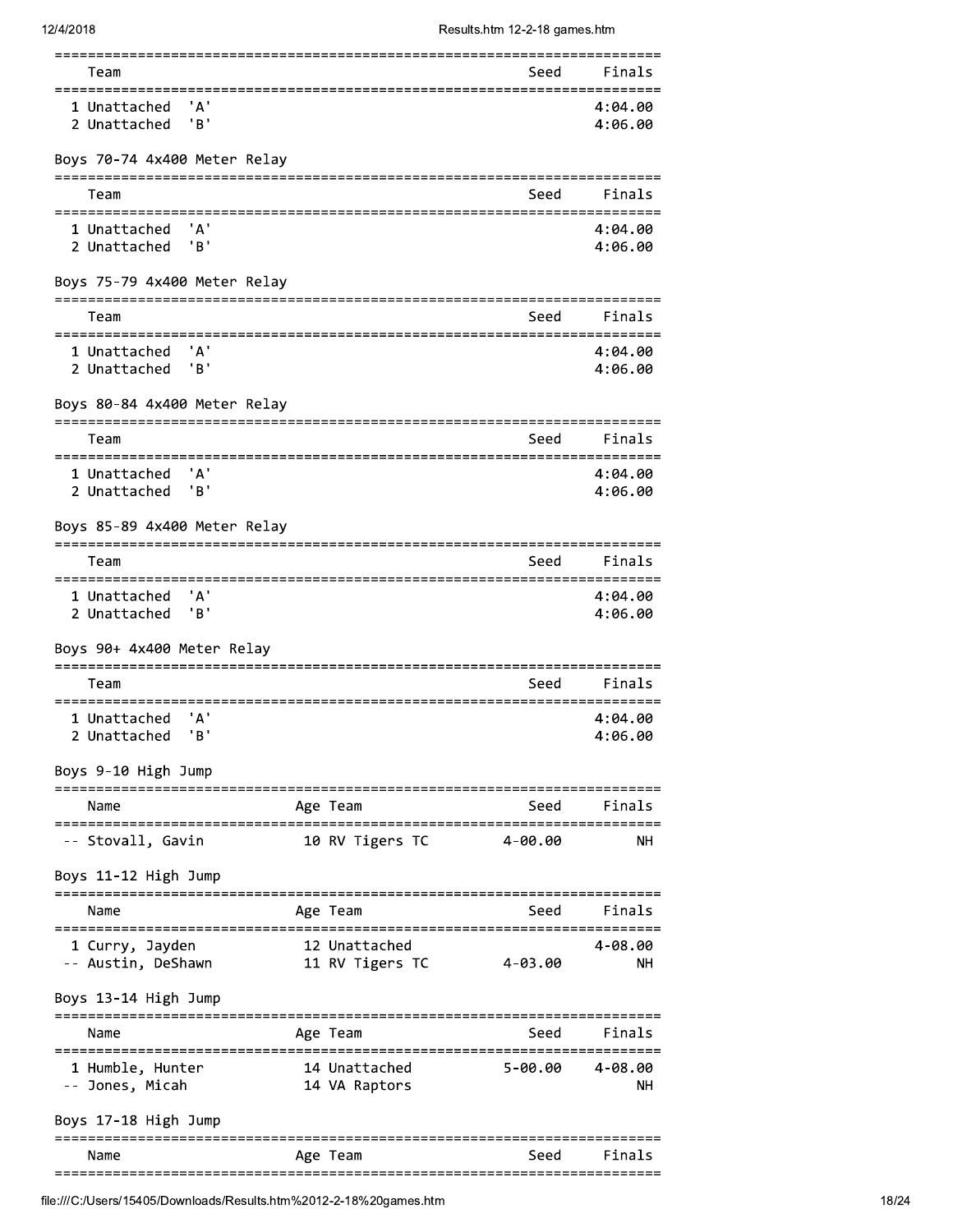| Team                                                              |                   |                                           | Seed                     | Finals             |
|-------------------------------------------------------------------|-------------------|-------------------------------------------|--------------------------|--------------------|
| ' A '<br>1 Unattached<br>'в'<br>2 Unattached                      |                   |                                           |                          | 4:04.00<br>4:06.00 |
| Boys 70-74 4x400 Meter Relay                                      |                   |                                           |                          |                    |
| ================================<br>Team                          |                   |                                           | Seed                     | Finals             |
| ===========<br>1 Unattached<br>' A '<br>'B'<br>2 Unattached       |                   |                                           |                          | 4:04.00<br>4:06.00 |
| Boys 75-79 4x400 Meter Relay<br>$=$ $=$ $=$ $=$ $=$               |                   |                                           |                          |                    |
| Team                                                              |                   |                                           | Seed                     | Finals             |
| 1 Unattached<br>' A '<br>'B'<br>2 Unattached                      |                   |                                           |                          | 4:04.00<br>4:06.00 |
| Boys 80-84 4x400 Meter Relay                                      |                   |                                           |                          |                    |
| Team                                                              |                   |                                           | Seed                     | Finals             |
| ===================<br>'А'<br>1 Unattached<br>'B'<br>2 Unattached |                   |                                           | ======================== | 4:04.00<br>4:06.00 |
| Boys 85-89 4x400 Meter Relay<br>=====================             | ================= |                                           |                          |                    |
| Team                                                              |                   |                                           | Seed                     | Finals             |
| =============<br>'А'<br>1 Unattached<br>'B'<br>2 Unattached       |                   | ======================                    | =======================  | 4:04.00<br>4:06.00 |
| Boys 90+ 4x400 Meter Relay                                        |                   |                                           |                          |                    |
| Team<br>===========                                               |                   |                                           | Seed                     | Finals             |
| ' A '<br>1 Unattached<br>'в'<br>2 Unattached                      |                   |                                           |                          | 4:04.00<br>4:06.00 |
| Boys 9-10 High Jump                                               |                   |                                           | =====================    |                    |
| Name<br>---------                                                 |                   | Age Team                                  | Seed                     | Finals             |
| -- Stovall, Gavin                                                 | ==============    | ======================<br>10 RV Tigers TC | 4-00.00                  | NΗ                 |
| Boys 11-12 High Jump                                              |                   |                                           |                          |                    |
| Name                                                              |                   | Age Team                                  | Seed                     | Finals             |
| 1 Curry, Jayden<br>-- Austin, DeShawn                             |                   | 12 Unattached<br>11 RV Tigers TC          | $4 - 03.00$              | 4-08.00<br>NΗ      |
| Boys 13-14 High Jump                                              |                   |                                           |                          |                    |
| Name                                                              |                   | Age Team                                  | .<br>Seed                | Finals             |
| 1 Humble, Hunter<br>-- Jones, Micah                               |                   | 14 Unattached<br>14 VA Raptors            | 5-00.00                  | 4-08.00<br>NΗ      |
| Boys 17-18 High Jump                                              |                   |                                           |                          |                    |
|                                                                   |                   |                                           |                          |                    |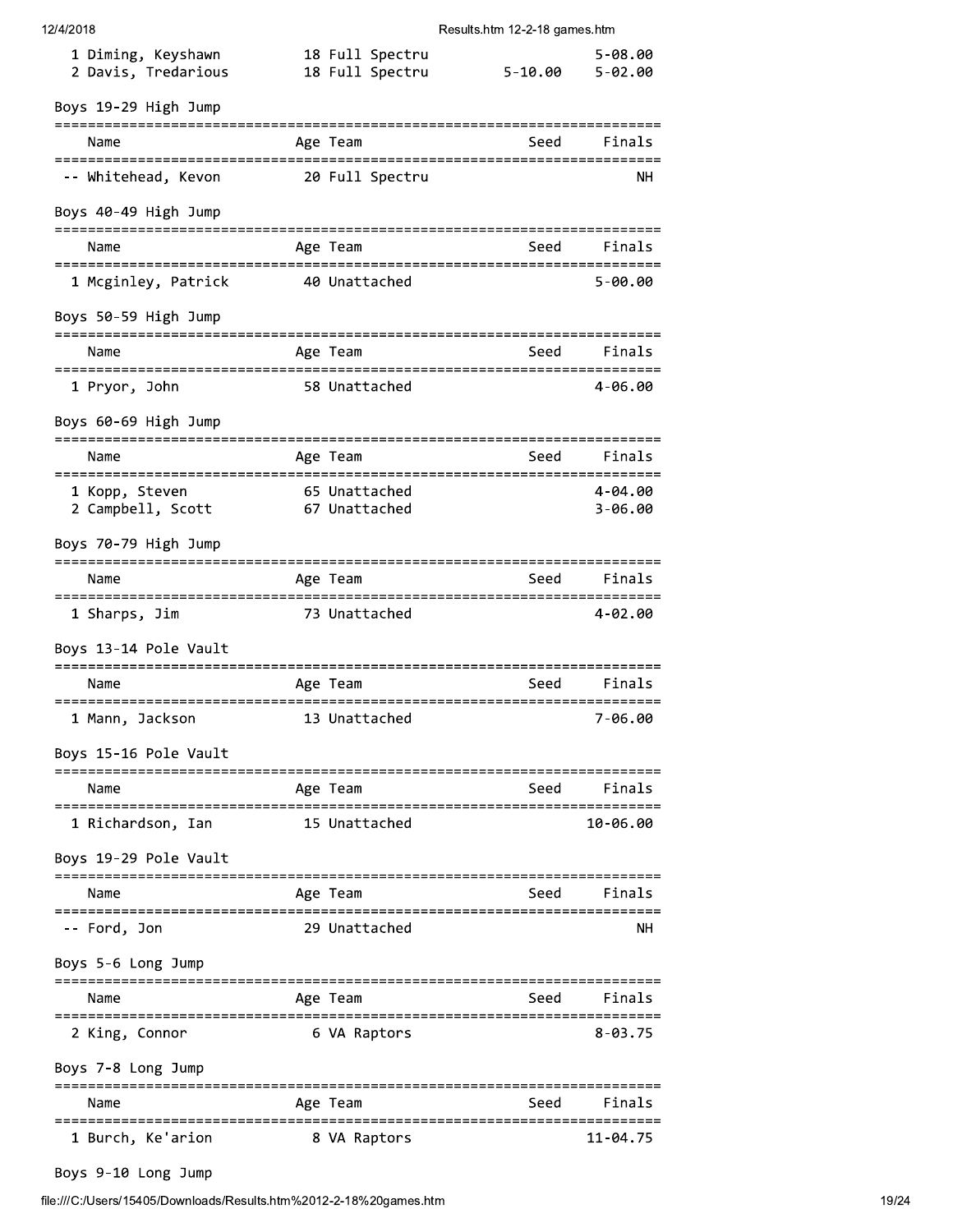| 12/4/2018                                               |                                    | Results.htm 12-2-18 games.htm            |                            |
|---------------------------------------------------------|------------------------------------|------------------------------------------|----------------------------|
| 1 Diming, Keyshawn<br>2 Davis, Tredarious               | 18 Full Spectru<br>18 Full Spectru | $5 - 10.00$                              | $5 - 08.00$<br>$5 - 02.00$ |
| Boys 19-29 High Jump                                    |                                    |                                          |                            |
| Name                                                    | Age Team                           | Seed                                     | Finals                     |
| -- Whitehead, Kevon                                     | 20 Full Spectru                    |                                          | NΗ                         |
| Boys 40-49 High Jump                                    |                                    |                                          |                            |
| Name                                                    | Age Team                           |                                          | Seed Finals                |
| 1 Mcginley, Patrick                                     | 40 Unattached                      |                                          | $5 - 00.00$                |
| Boys 50-59 High Jump                                    |                                    |                                          |                            |
| Name                                                    | Age Team                           | Seed                                     | Finals                     |
| 1 Pryor, John                                           | 58 Unattached                      |                                          | 4-06.00                    |
| Boys 60-69 High Jump                                    |                                    |                                          |                            |
| Name                                                    | Age Team                           | Seed                                     | Finals                     |
| 1 Kopp, Steven<br>2 Campbell, Scott                     | 65 Unattached<br>67 Unattached     |                                          | 4-04.00<br>$3 - 06.00$     |
| Boys 70-79 High Jump                                    |                                    |                                          |                            |
| Name                                                    | Age Team                           | Seed                                     | Finals                     |
| ======================================<br>1 Sharps, Jim | 73 Unattached                      |                                          | 4-02.00                    |
| Boys 13-14 Pole Vault                                   |                                    |                                          |                            |
| Name                                                    | Age Team                           | Seed                                     | Finals                     |
| 1 Mann, Jackson                                         | 13 Unattached                      |                                          | 7-06.00                    |
| Boys 15-16 Pole Vault                                   |                                    |                                          |                            |
| Name                                                    | Age Team                           | Seed                                     | Finals                     |
| 1 Richardson, Ian                                       | 15 Unattached                      |                                          | 10-06.00                   |
| Boys 19-29 Pole Vault                                   |                                    |                                          |                            |
| Name                                                    | Age Team                           |                                          | Seed Finals                |
| -- Ford, Jon                                            | 29 Unattached                      |                                          | NН                         |
| Boys 5-6 Long Jump                                      |                                    |                                          |                            |
| ==============================<br>Name                  | Age Team                           | ================================<br>Seed | Finals                     |
| 2 King, Connor                                          | 6 VA Raptors                       |                                          | $8 - 03.75$                |
| Boys 7-8 Long Jump                                      |                                    |                                          |                            |
| Name                                                    | Age Team                           | Seed                                     | Finals                     |

# 1 Burch, Ke'arion 8 VA Raptors

 $11 - 04.75$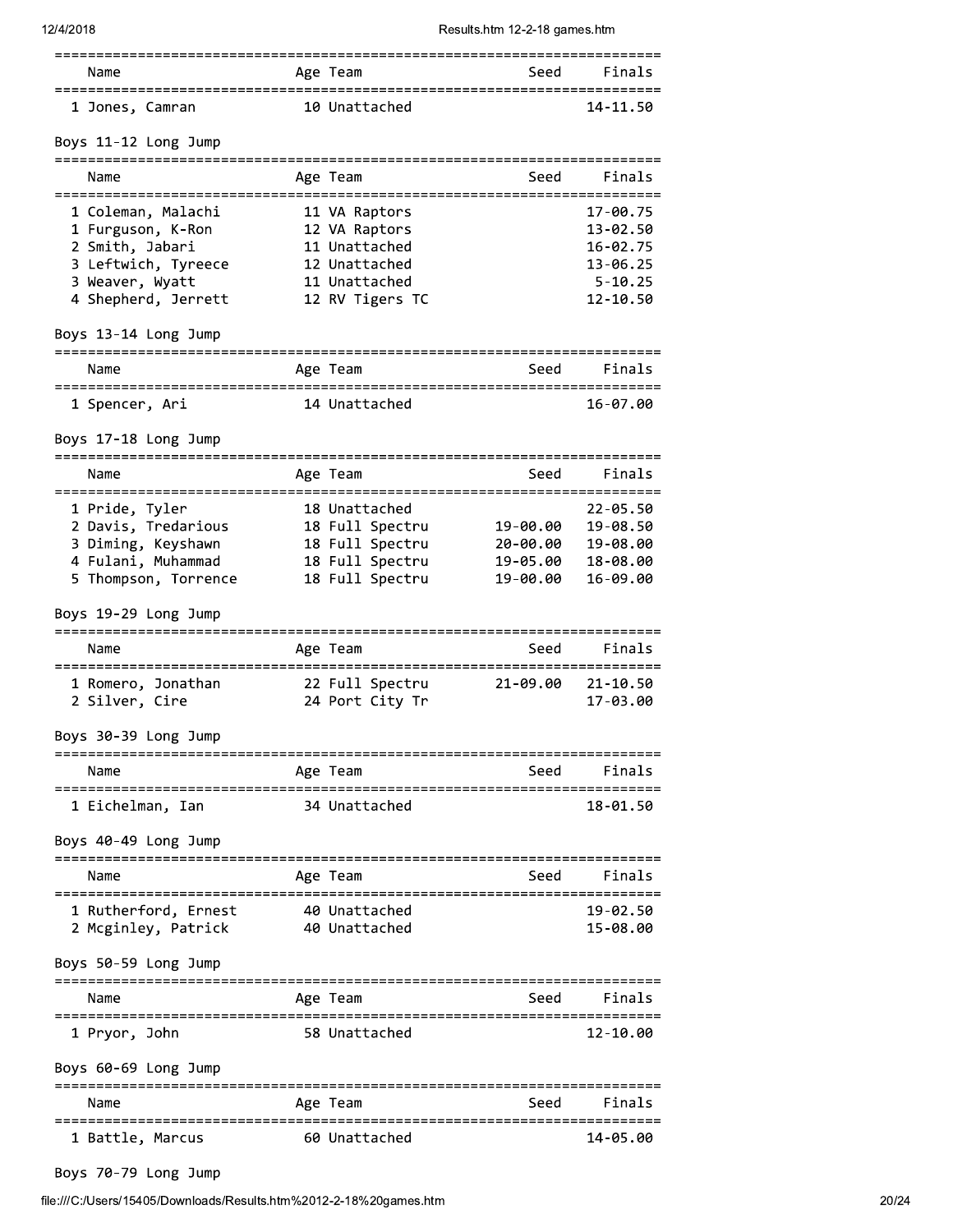| Name                 | Age Team      | Finals<br>Seed |  |
|----------------------|---------------|----------------|--|
| 1 Jones, Camran      | 10 Unattached | 14-11.50       |  |
| Boys 11-12 Long Jump |               |                |  |

| Name                                                                                                                                                | Age Team                                                                                             | Seed                                        | Finals                                                                      |
|-----------------------------------------------------------------------------------------------------------------------------------------------------|------------------------------------------------------------------------------------------------------|---------------------------------------------|-----------------------------------------------------------------------------|
| 1 Coleman, Malachi<br>1 Furguson, K-Ron<br>2 Smith, Jabari<br>3 Leftwich, Tyreece<br>3 Weaver, Wyatt<br>4 Shepherd, Jerrett<br>Boys 13-14 Long Jump | 11 VA Raptors<br>12 VA Raptors<br>11 Unattached<br>12 Unattached<br>11 Unattached<br>12 RV Tigers TC |                                             | 17-00.75<br>13-02.50<br>16-02.75<br>$13 - 06.25$<br>$5 - 10.25$<br>12-10.50 |
| Name                                                                                                                                                | Age Team                                                                                             | Seed                                        | Finals                                                                      |
| 1 Spencer, Ari                                                                                                                                      | 14 Unattached                                                                                        |                                             | 16-07.00                                                                    |
| Boys 17-18 Long Jump                                                                                                                                |                                                                                                      |                                             |                                                                             |
| Name                                                                                                                                                | Age Team                                                                                             | Seed                                        | Finals                                                                      |
| 1 Pride, Tyler<br>2 Davis, Tredarious 18 Full Spectru 19-00.00<br>3 Diming, Keyshawn<br>4 Fulani, Muhammad<br>5 Thompson, Torrence                  | 18 Unattached<br>18 Full Spectru<br>18 Full Spectru<br>18 Full Spectru                               | 20-00.00<br>19-05.00<br>19-00.00            | $22 - 05.50$<br>19-08.50<br>19-08.00<br>18-08.00<br>16-09.00                |
| Boys 19-29 Long Jump                                                                                                                                |                                                                                                      |                                             |                                                                             |
| Name                                                                                                                                                | Age Team                                                                                             | Seed                                        | Finals                                                                      |
| 1 Romero, Jonathan (22 Full Spectru (21-09.00)<br>2 Silver, Cire                                                                                    | 24 Port City Tr                                                                                      |                                             | $21 - 10.50$<br>17-03.00                                                    |
| Boys 30-39 Long Jump                                                                                                                                |                                                                                                      |                                             |                                                                             |
| Name                                                                                                                                                | Age Team                                                                                             |                                             | Seed Finals                                                                 |
| 1 Eichelman, Ian<br>Boys 40-49 Long Jump                                                                                                            | 34 Unattached                                                                                        |                                             | 18-01.50                                                                    |
| ===================================<br>Name                                                                                                         | Age Team                                                                                             | ===================================<br>Seed | Finals                                                                      |
| ====================================<br>1 Rutherford, Ernest<br>2 Mcginley, Patrick                                                                 | 40 Unattached<br>40 Unattached                                                                       |                                             | 19-02.50<br>15-08.00                                                        |
| Boys 50-59 Long Jump                                                                                                                                |                                                                                                      |                                             |                                                                             |
| Name<br>===========                                                                                                                                 | Age Team                                                                                             | Seed                                        | Finals                                                                      |
| 1 Pryor, John<br>Boys 60-69 Long Jump                                                                                                               | 58 Unattached                                                                                        |                                             | 12-10.00                                                                    |
| Name                                                                                                                                                | Age Team                                                                                             | Seed                                        | Finals                                                                      |
|                                                                                                                                                     |                                                                                                      |                                             |                                                                             |

| 1 Battle, Marcus | 60 Unattached | 14-05.00 |
|------------------|---------------|----------|

Boys 70-79 Long Jump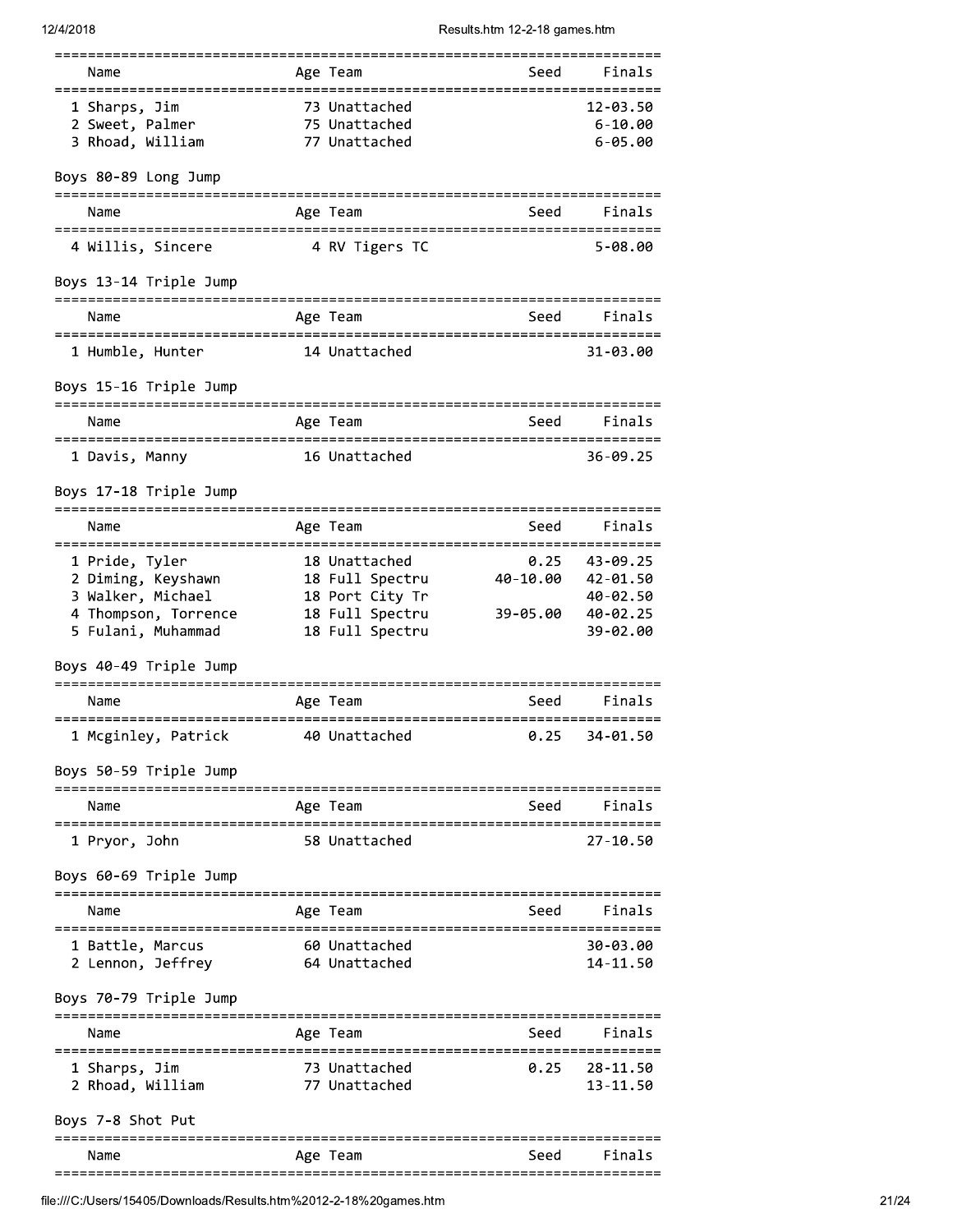|                                               |                  |                              | ---------------------------   |             |
|-----------------------------------------------|------------------|------------------------------|-------------------------------|-------------|
| Name<br>==================================    |                  | Age Team                     | Seed<br>==================    | Finals      |
| 1 Sharps, Jim                                 |                  | 73 Unattached                |                               | 12-03.50    |
| 2 Sweet, Palmer                               |                  | 75 Unattached                |                               | $6 - 10.00$ |
| 3 Rhoad, William                              |                  | 77 Unattached                |                               | $6 - 05.00$ |
| Boys 80-89 Long Jump                          |                  |                              |                               |             |
|                                               |                  |                              |                               |             |
| Name                                          |                  | Age Team                     | Seed                          | Finals      |
| 4 Willis, Sincere<br>Boys 13-14 Triple Jump   |                  | 4 RV Tigers TC               |                               | $5 - 08.00$ |
|                                               |                  |                              |                               |             |
| Name                                          |                  | Age Team                     |                               | Seed Finals |
| 1 Humble, Hunter                              |                  | 14 Unattached                |                               | 31-03.00    |
| Boys 15-16 Triple Jump                        |                  |                              | ============================  |             |
| Name<br>===================================== |                  | Age Team                     | Seed                          | Finals      |
| 1 Davis, Manny                                |                  | 16 Unattached                |                               | 36-09.25    |
| Boys 17-18 Triple Jump                        |                  |                              |                               |             |
| Name                                          |                  | Age Team                     | Seed                          | Finals      |
| 1 Pride, Tyler                                |                  | 18 Unattached                | 0.25                          | 43-09.25    |
| 2 Diming, Keyshawn                            |                  | 18 Full Spectru              | 40-10.00                      | 42-01.50    |
| 3 Walker, Michael                             |                  | 18 Port City Tr              |                               | 40-02.50    |
| 4 Thompson, Torrence                          |                  | 18 Full Spectru              | 39-05.00                      | 40-02.25    |
| 5 Fulani, Muhammad                            |                  | 18 Full Spectru              |                               | 39-02.00    |
| Boys 40-49 Triple Jump                        |                  |                              |                               |             |
| Name<br>;==================================== |                  | Age Team                     | Seed<br>===================== | Finals      |
| 1 Mcginley, Patrick 10 Unattached             |                  |                              | 0.25                          | 34-01.50    |
| Boys 50-59 Triple Jump                        |                  | ============================ |                               |             |
| Name                                          |                  | Age Team                     | Seed                          | Finals      |
| 1 Pryor, John                                 |                  | 58 Unattached                |                               | 27-10.50    |
| Boys 60-69 Triple Jump                        |                  |                              |                               |             |
| Name                                          |                  | Age Team                     | Seed                          | Finals      |
| 1 Battle, Marcus                              |                  | 60 Unattached                |                               | 30-03.00    |
| 2 Lennon, Jeffrey                             |                  | 64 Unattached                |                               | 14-11.50    |
| Boys 70-79 Triple Jump                        |                  |                              | ============================  |             |
| Name                                          |                  | Age Team                     | Seed                          | Finals      |
| 1 Sharps, Jim                                 |                  | 73 Unattached                | 0.25                          | 28-11.50    |
| 2 Rhoad, William                              |                  | 77 Unattached                |                               | 13-11.50    |
| Boys 7-8 Shot Put                             |                  |                              |                               |             |
| Name                                          |                  | Age Team                     | Seed                          | Finals      |
| ================                              | ================ |                              | =========================     |             |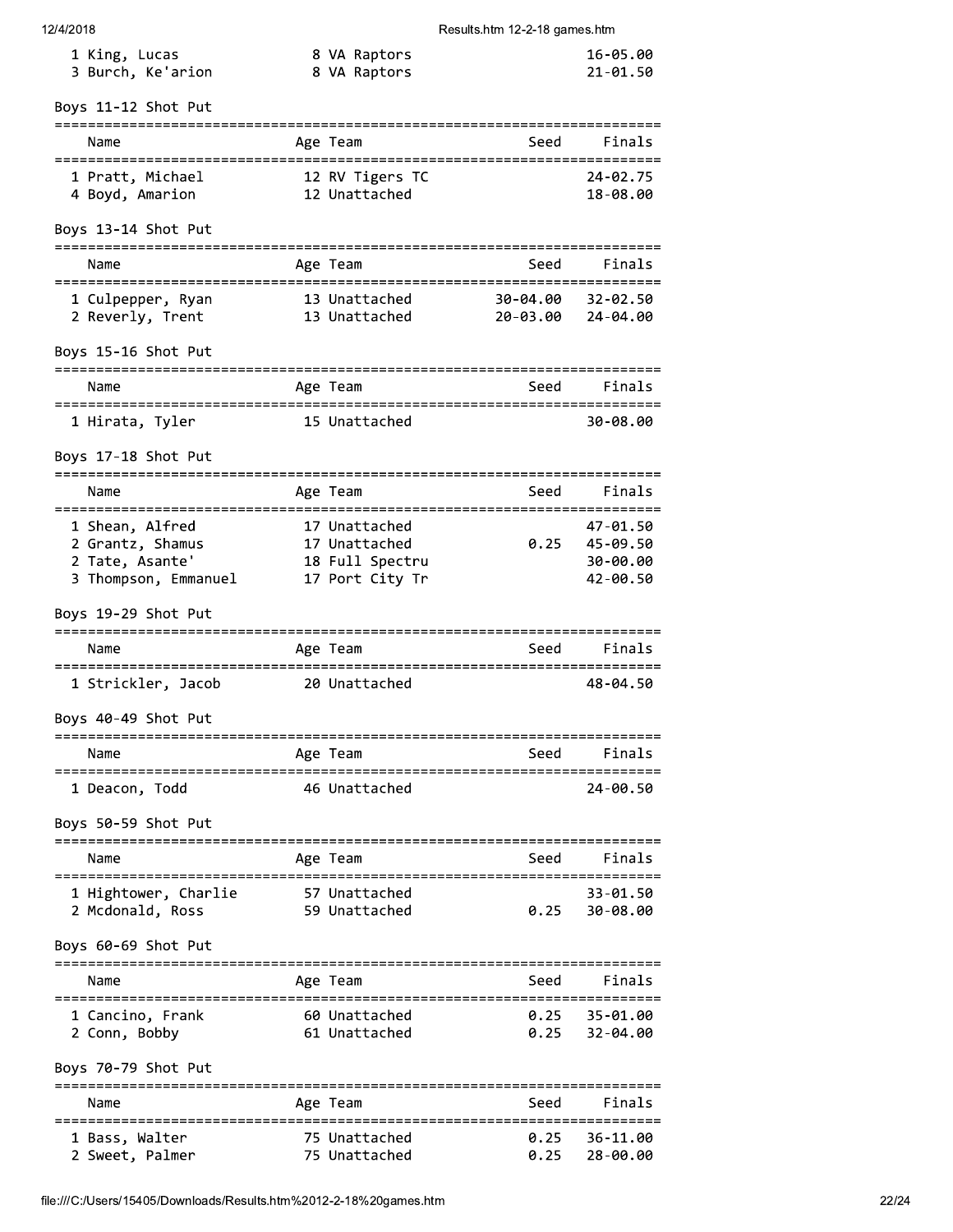| 12/4/2018 |  |  |
|-----------|--|--|
|           |  |  |

| 1 King, Lucas     | 8 VA Raptors | 16-05.00 |
|-------------------|--------------|----------|
| 3 Burch, Ke'arion | 8 VA Raptors | 21-01.50 |

#### $c$  11.12 Shot Dut  $\mathbf{r}$

| Boys 11-12 Shot Put                                                                                                                              |          |                                                  |                                 |                                              |
|--------------------------------------------------------------------------------------------------------------------------------------------------|----------|--------------------------------------------------|---------------------------------|----------------------------------------------|
| Name                                                                                                                                             | Age Team |                                                  | :======================<br>Seed | Finals                                       |
| 1 Pratt, Michael<br>4 Boyd, Amarion                                                                                                              |          | 12 RV Tigers TC<br>12 Unattached                 |                                 | 24-02.75<br>18-08.00                         |
| Boys 13-14 Shot Put                                                                                                                              |          |                                                  |                                 |                                              |
| Name                                                                                                                                             | Age Team |                                                  | Seed                            | Finals                                       |
| 1 Culpepper, Ryan<br>2 Reverly, Trent                                                                                                            |          | 13 Unattached 30-04.00<br>13 Unattached 20-03.00 |                                 | 32-02.50<br>24-04.00                         |
| Boys 15-16 Shot Put                                                                                                                              |          |                                                  |                                 |                                              |
| Name                                                                                                                                             | Age Team |                                                  | Seed                            | Finals                                       |
| 1 Hirata, Tyler                                                                                                                                  |          | 15 Unattached                                    |                                 | 30-08.00                                     |
| Boys 17-18 Shot Put                                                                                                                              |          |                                                  |                                 |                                              |
| Name                                                                                                                                             | Age Team |                                                  | Seed                            | Finals                                       |
| 1 Shean, Alfred<br>2 Grantz, Shamus<br>2 Grantz, Shamus 17 Unattached<br>2 Tate, Asante' 18 Full Spectru<br>3 Thompson, Emmanuel 17 Port City Tr |          | 17 Unattached<br>17 Unattached                   | 0.25                            | 47-01.50<br>45-09.50<br>30-00.00<br>42-00.50 |
| Boys 19-29 Shot Put                                                                                                                              |          |                                                  |                                 |                                              |
| Name                                                                                                                                             | Age Team |                                                  | Seed                            | Finals                                       |
| 1 Strickler, Jacob                                                                                                                               |          | 20 Unattached                                    |                                 | 48-04.50                                     |
| Boys 40-49 Shot Put                                                                                                                              |          |                                                  |                                 |                                              |
| Name                                                                                                                                             | Age Team |                                                  | Seed                            | Finals                                       |
| 1 Deacon, Todd                                                                                                                                   |          | 46 Unattached                                    |                                 | 24-00.50                                     |
| Boys 50-59 Shot Put                                                                                                                              |          |                                                  |                                 |                                              |
| Name                                                                                                                                             | Age Team |                                                  | Seed                            | Finals                                       |
| 1 Hightower, Charlie<br>2 Mcdonald, Ross                                                                                                         |          | 57 Unattached<br>59 Unattached                   | 0.25                            | 33-01.50<br>30-08.00                         |
| Boys 60-69 Shot Put                                                                                                                              |          |                                                  |                                 |                                              |
| Name<br>=====================================                                                                                                    | Age Team |                                                  | Seed                            | Finals                                       |
| 1 Cancino, Frank<br>2 Conn, Bobby                                                                                                                |          | 60 Unattached<br>61 Unattached                   | 0.25<br>0.25                    | 35-01.00<br>32-04.00                         |
| Boys 70-79 Shot Put                                                                                                                              |          |                                                  |                                 |                                              |
| Name<br>:================                                                                                                                        | Age Team | :==========================                      | Seed<br>====================    | Finals                                       |
| 1 Bass, Walter<br>2 Sweet, Palmer                                                                                                                |          | 75 Unattached<br>75 Unattached                   | 0.25<br>0.25                    | 36-11.00<br>28-00.00                         |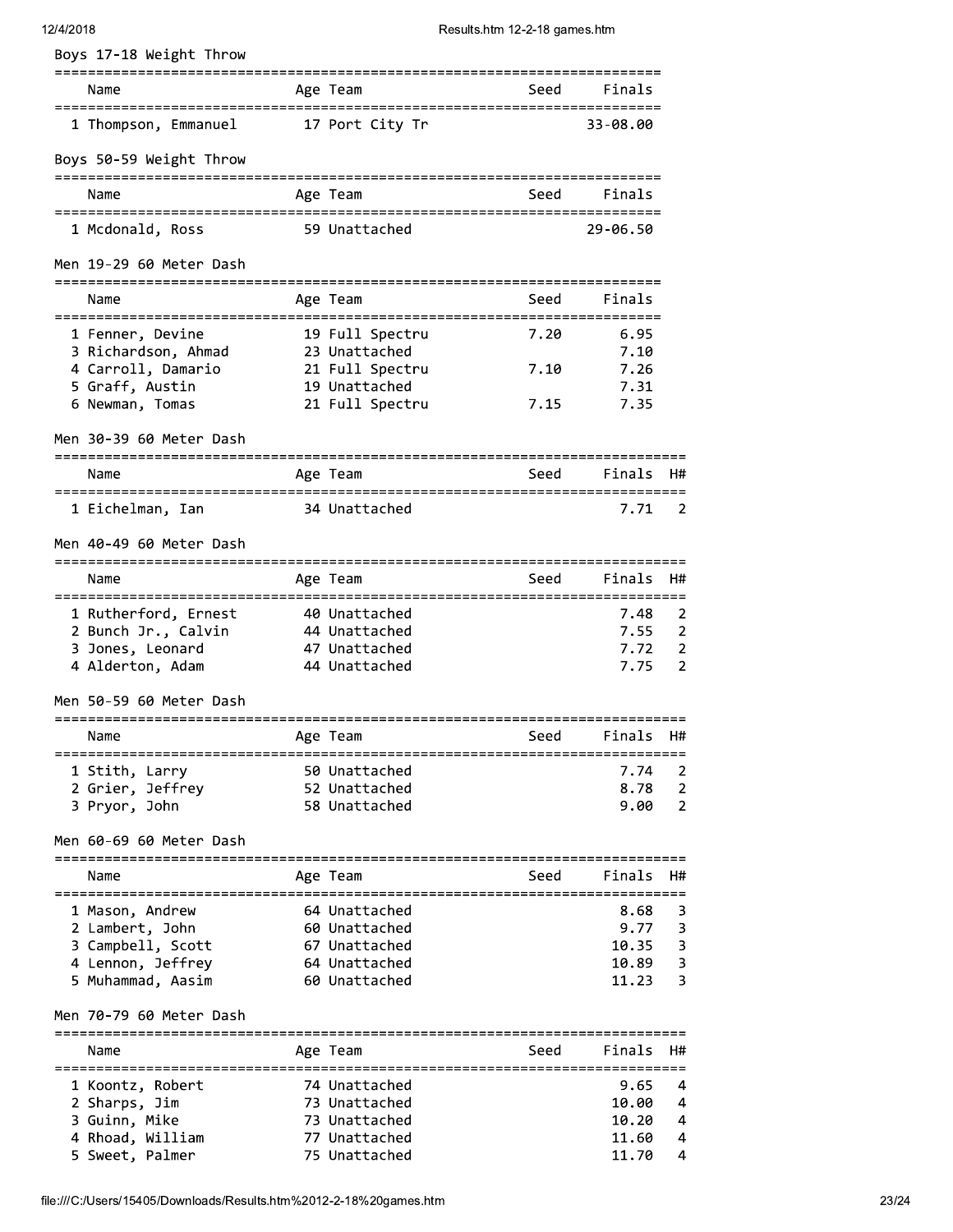# $12/4/20$

| Name                                            | Age Team                       | Seed                               | Finals         |                              |
|-------------------------------------------------|--------------------------------|------------------------------------|----------------|------------------------------|
| 1 Thompson, Emmanuel                            | 17 Port City Tr                |                                    | 33-08.00       |                              |
| Boys 50-59 Weight Throw                         |                                |                                    |                |                              |
| =================<br>Name                       | ===========<br>Age Team        | ==========================<br>Seed | Finals         |                              |
| 1 Mcdonald, Ross                                | 59 Unattached                  | =========================          | 29-06.50       |                              |
| Men 19-29 60 Meter Dash                         |                                |                                    |                |                              |
| Name                                            | Age Team                       | Seed                               | Finals         |                              |
| 1 Fenner, Devine                                | 19 Full Spectru                | 7.20                               | 6.95           |                              |
| 3 Richardson, Ahmad                             | 23 Unattached                  |                                    | 7.10           |                              |
| 4 Carroll, Damario                              | 21 Full Spectru                | 7.10                               | 7.26           |                              |
| 5 Graff, Austin                                 | 19 Unattached                  |                                    | 7.31<br>7.35   |                              |
| 6 Newman, Tomas                                 | 21 Full Spectru                | 7.15                               |                |                              |
| Men 30-39 60 Meter Dash<br>==================== |                                |                                    |                |                              |
| Name                                            | Age Team                       | Seed                               | Finals         | H#                           |
| 1 Eichelman, Ian                                | 34 Unattached                  |                                    | 7.71           | 2                            |
| Men 40-49 60 Meter Dash                         |                                |                                    |                |                              |
| Name<br>====================                    | Age Team                       | Seed                               | Finals         | H#                           |
| 1 Rutherford, Ernest                            | 40 Unattached                  |                                    | 7.48           | $\overline{2}$               |
| 2 Bunch Jr., Calvin                             | 44 Unattached                  |                                    | 7.55           | $\overline{2}$               |
| 3 Jones, Leonard<br>4 Alderton, Adam            | 47 Unattached<br>44 Unattached |                                    | 7.72<br>7.75   | 2<br>$\overline{2}$          |
| Men 50-59 60 Meter Dash                         |                                |                                    |                |                              |
| Name                                            | Age Team                       | Seed                               | Finals         | H#                           |
| 1 Stith, Larry                                  | 50 Unattached                  |                                    | 7.74           | 2                            |
| 2 Grier, Jeffrey                                | 52 Unattached                  |                                    | 8.78           | $\overline{2}$               |
| 3 Pryor, John                                   | 58 Unattached                  |                                    | 9.00           | $\overline{2}$               |
| Men 60-69 60 Meter Dash                         |                                |                                    |                |                              |
| Name                                            | Age Team                       | Seed                               | Finals         | H#                           |
| 1 Mason, Andrew                                 | 64 Unattached                  |                                    | 8.68           | 3                            |
| 2 Lambert, John                                 | 60 Unattached                  |                                    | 9.77           | 3                            |
| 3 Campbell, Scott                               | 67 Unattached                  |                                    | 10.35          | $\overline{\mathbf{3}}$      |
| 4 Lennon, Jeffrey<br>5 Muhammad, Aasim          | 64 Unattached<br>60 Unattached |                                    | 10.89<br>11.23 | $\overline{\mathbf{3}}$<br>3 |
| Men 70-79 60 Meter Dash                         |                                |                                    |                |                              |
| Name                                            | Age Team                       | Seed                               | Finals         | H#                           |
| 1 Koontz, Robert                                | 74 Unattached                  |                                    | 9.65           | 4                            |
| 2 Sharps, Jim                                   | 73 Unattached                  |                                    | 10.00          | 4                            |
| 3 Guinn, Mike                                   | 73 Unattached                  |                                    | 10.20          | 4                            |
| 4 Rhoad, William                                | 77 Unattached                  |                                    | 11.60          | 4                            |
| 5 Sweet, Palmer                                 | 75 Unattached                  |                                    | 11.70          | 4                            |